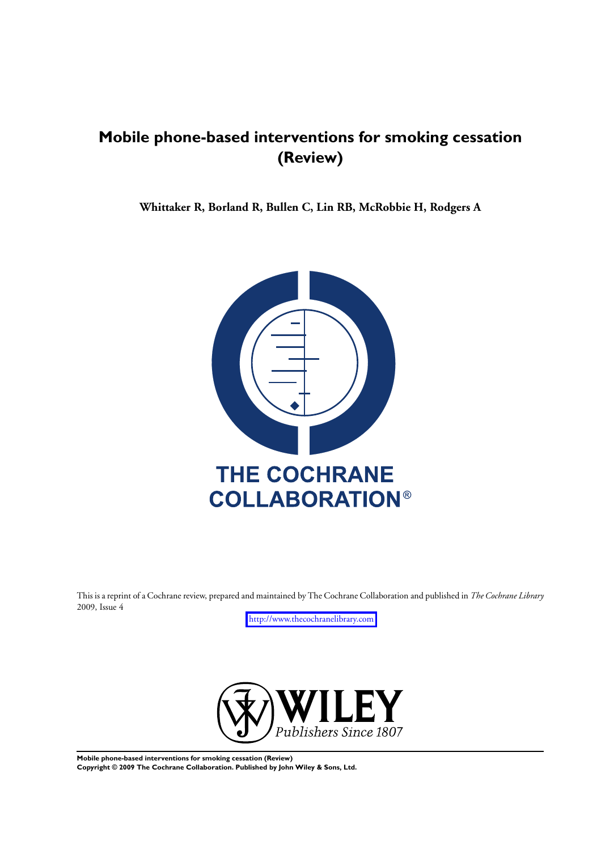# **Mobile phone-based interventions for smoking cessation (Review)**

**Whittaker R, Borland R, Bullen C, Lin RB, McRobbie H, Rodgers A**



This is a reprint of a Cochrane review, prepared and maintained by The Cochrane Collaboration and published in *The Cochrane Library* 2009, Issue 4

<http://www.thecochranelibrary.com>



**Mobile phone-based interventions for smoking cessation (Review) Copyright © 2009 The Cochrane Collaboration. Published by John Wiley & Sons, Ltd.**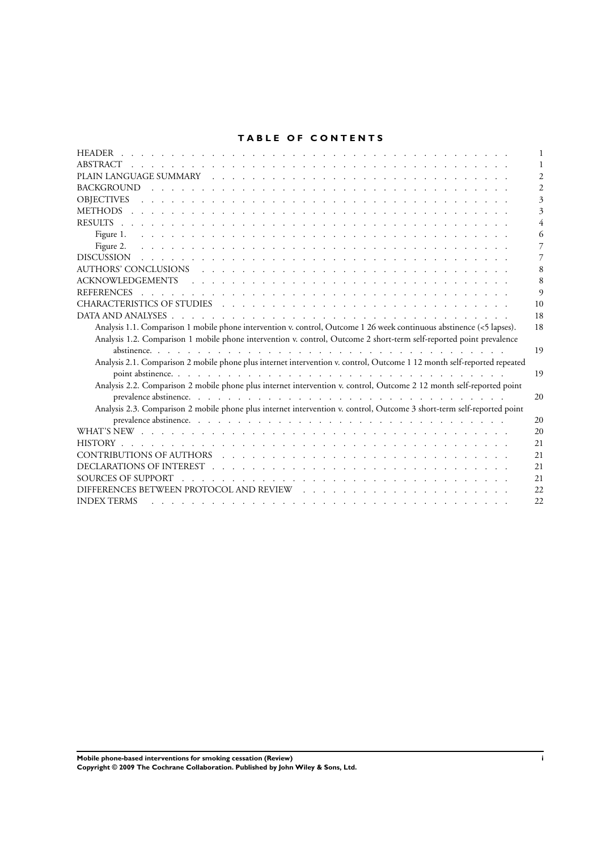# **TABLE OF CONTENTS**

| 9                                                                                                                           |
|-----------------------------------------------------------------------------------------------------------------------------|
| 10                                                                                                                          |
| 18                                                                                                                          |
|                                                                                                                             |
| Analysis 1.1. Comparison 1 mobile phone intervention v. control, Outcome 1 26 week continuous abstinence (<5 lapses).<br>18 |
| Analysis 1.2. Comparison 1 mobile phone intervention v. control, Outcome 2 short-term self-reported point prevalence        |
| 19                                                                                                                          |
| Analysis 2.1. Comparison 2 mobile phone plus internet intervention v. control, Outcome 1 12 month self-reported repeated    |
| 19                                                                                                                          |
| Analysis 2.2. Comparison 2 mobile phone plus internet intervention v. control, Outcome 2 12 month self-reported point       |
| 20                                                                                                                          |
| Analysis 2.3. Comparison 2 mobile phone plus internet intervention v. control, Outcome 3 short-term self-reported point     |
| 20                                                                                                                          |
| 20                                                                                                                          |
| 21                                                                                                                          |
| 21                                                                                                                          |
| 21                                                                                                                          |
| 21                                                                                                                          |
| 22                                                                                                                          |

**Mobile phone-based interventions for smoking cessation (Review) i Copyright © 2009 The Cochrane Collaboration. Published by John Wiley & Sons, Ltd.**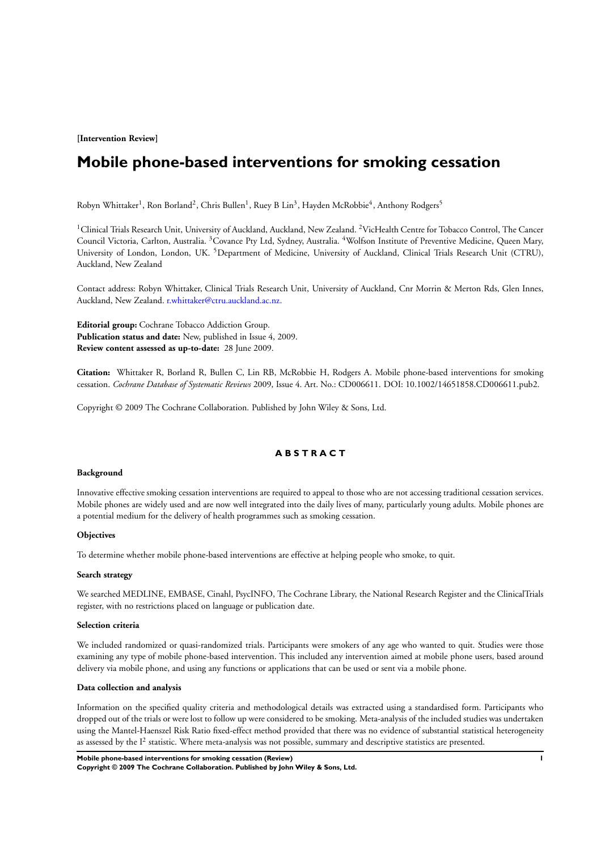**[Intervention Review]**

# **Mobile phone-based interventions for smoking cessation**

Robyn Whittaker<sup>1</sup>, Ron Borland<sup>2</sup>, Chris Bullen<sup>1</sup>, Ruey B Lin<sup>3</sup>, Hayden McRobbie<sup>4</sup>, Anthony Rodgers<sup>5</sup>

<sup>1</sup>Clinical Trials Research Unit, University of Auckland, Auckland, New Zealand. <sup>2</sup>VicHealth Centre for Tobacco Control, The Cancer Council Victoria, Carlton, Australia. <sup>3</sup>Covance Pty Ltd, Sydney, Australia. <sup>4</sup>Wolfson Institute of Preventive Medicine, Queen Mary, University of London, London, UK.<sup>5</sup>Department of Medicine, University of Auckland, Clinical Trials Research Unit (CTRU), Auckland, New Zealand

Contact address: Robyn Whittaker, Clinical Trials Research Unit, University of Auckland, Cnr Morrin & Merton Rds, Glen Innes, Auckland, New Zealand. [r.whittaker@ctru.auckland.ac.nz](mailto:r.whittaker@ctru.auckland.ac.nz).

**Editorial group:** Cochrane Tobacco Addiction Group. **Publication status and date:** New, published in Issue 4, 2009. **Review content assessed as up-to-date:** 28 June 2009.

**Citation:** Whittaker R, Borland R, Bullen C, Lin RB, McRobbie H, Rodgers A. Mobile phone-based interventions for smoking cessation. *Cochrane Database of Systematic Reviews* 2009, Issue 4. Art. No.: CD006611. DOI: 10.1002/14651858.CD006611.pub2.

Copyright © 2009 The Cochrane Collaboration. Published by John Wiley & Sons, Ltd.

### **A B S T R A C T**

### **Background**

Innovative effective smoking cessation interventions are required to appeal to those who are not accessing traditional cessation services. Mobile phones are widely used and are now well integrated into the daily lives of many, particularly young adults. Mobile phones are a potential medium for the delivery of health programmes such as smoking cessation.

#### **Objectives**

To determine whether mobile phone-based interventions are effective at helping people who smoke, to quit.

#### **Search strategy**

We searched MEDLINE, EMBASE, Cinahl, PsycINFO, The Cochrane Library, the National Research Register and the ClinicalTrials register, with no restrictions placed on language or publication date.

#### **Selection criteria**

We included randomized or quasi-randomized trials. Participants were smokers of any age who wanted to quit. Studies were those examining any type of mobile phone-based intervention. This included any intervention aimed at mobile phone users, based around delivery via mobile phone, and using any functions or applications that can be used or sent via a mobile phone.

#### **Data collection and analysis**

Information on the specified quality criteria and methodological details was extracted using a standardised form. Participants who dropped out of the trials or were lost to follow up were considered to be smoking. Meta-analysis of the included studies was undertaken using the Mantel-Haenszel Risk Ratio fixed-effect method provided that there was no evidence of substantial statistical heterogeneity as assessed by the  $I^2$  statistic. Where meta-analysis was not possible, summary and descriptive statistics are presented.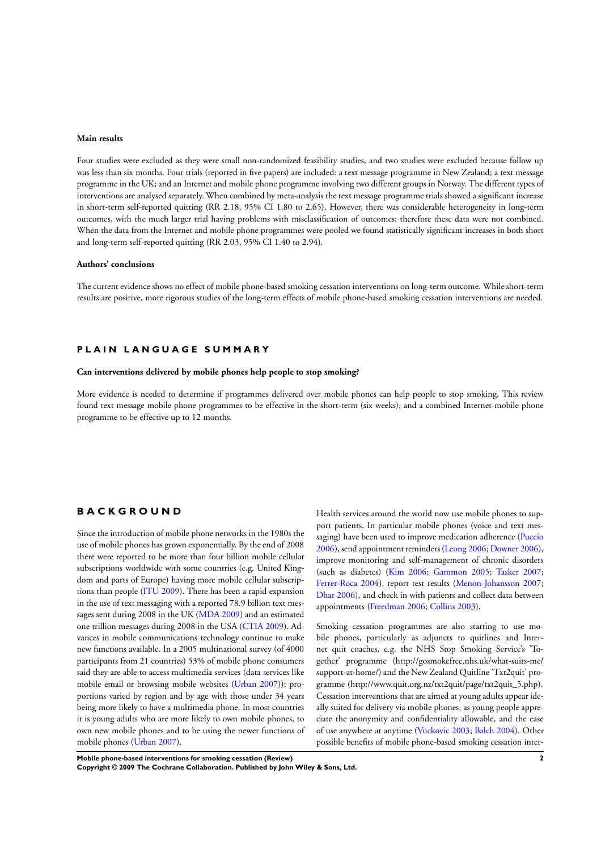### **Main results**

Four studies were excluded as they were small non-randomized feasibility studies, and two studies were excluded because follow up was less than six months. Four trials (reported in five papers) are included: a text message programme in New Zealand; a text message programme in the UK; and an Internet and mobile phone programme involving two different groups in Norway. The different types of interventions are analysed separately. When combined by meta-analysis the text message programme trials showed a significant increase in short-term self-reported quitting (RR 2.18, 95% CI 1.80 to 2.65). However, there was considerable heterogeneity in long-term outcomes, with the much larger trial having problems with misclassification of outcomes; therefore these data were not combined. When the data from the Internet and mobile phone programmes were pooled we found statistically significant increases in both short and long-term self-reported quitting (RR 2.03, 95% CI 1.40 to 2.94).

#### **Authors' conclusions**

The current evidence shows no effect of mobile phone-based smoking cessation interventions on long-term outcome. While short-term results are positive, more rigorous studies of the long-term effects of mobile phone-based smoking cessation interventions are needed.

### **P L A I N L A N G U A G E S U M M A R Y**

### **Can interventions delivered by mobile phones help people to stop smoking?**

More evidence is needed to determine if programmes delivered over mobile phones can help people to stop smoking. This review found text message mobile phone programmes to be effective in the short-term (six weeks), and a combined Internet-mobile phone programme to be effective up to 12 months.

# **B A C K G R O U N D**

Since the introduction of mobile phone networks in the 1980s the use of mobile phones has grown exponentially. By the end of 2008 there were reported to be more than four billion mobile cellular subscriptions worldwide with some countries (e.g. United Kingdom and parts of Europe) having more mobile cellular subscriptions than people ([ITU 2009\)](#page-10-0). There has been a rapid expansion in the use of text messaging with a reported 78.9 billion text messages sent during 2008 in the UK ([MDA 2009\)](#page-10-0) and an estimated one trillion messages during 2008 in the USA ([CTIA 2009\)](#page-10-0). Advances in mobile communications technology continue to make new functions available. In a 2005 multinational survey (of 4000 participants from 21 countries) 53% of mobile phone consumers said they are able to access multimedia services (data services like mobile email or browsing mobile websites ([Urban 2007](#page-10-0))); proportions varied by region and by age with those under 34 years being more likely to have a multimedia phone. In most countries it is young adults who are more likely to own mobile phones, to own new mobile phones and to be using the newer functions of mobile phones [\(Urban 2007\)](#page-10-0).

Health services around the world now use mobile phones to support patients. In particular mobile phones (voice and text messaging) have been used to improve medication adherence [\(Puccio](#page-10-0) [2006](#page-10-0)), send appointment reminders [\(Leong 2006;](#page-10-0) [Downer 2006](#page-10-0)), improve monitoring and self-management of chronic disorders (such as diabetes) ([Kim 2006;](#page-10-0) [Gammon 2005;](#page-10-0) [Tasker 2007;](#page-10-0) [Ferrer-Roca 2004](#page-10-0)), report test results [\(Menon-Johansson 2007;](#page-10-0) [Dhar 2006\)](#page-10-0), and check in with patients and collect data between appointments [\(Freedman 2006](#page-10-0); [Collins 2003\)](#page-10-0).

Smoking cessation programmes are also starting to use mobile phones, particularly as adjuncts to quitlines and Internet quit coaches, e.g. the NHS Stop Smoking Service's 'Together' programme (http://gosmokefree.nhs.uk/what-suits-me/ support-at-home/) and the New Zealand Quitline 'Txt2quit' programme (http://www.quit.org.nz/txt2quit/page/txt2quit\_5.php). Cessation interventions that are aimed at young adults appear ideally suited for delivery via mobile phones, as young people appreciate the anonymity and confidentiality allowable, and the ease of use anywhere at anytime [\(Vuckovic 2003](#page-10-0); [Balch 2004\)](#page-10-0). Other possible benefits of mobile phone-based smoking cessation inter-

**Mobile phone-based interventions for smoking cessation (Review) 2 Copyright © 2009 The Cochrane Collaboration. Published by John Wiley & Sons, Ltd.**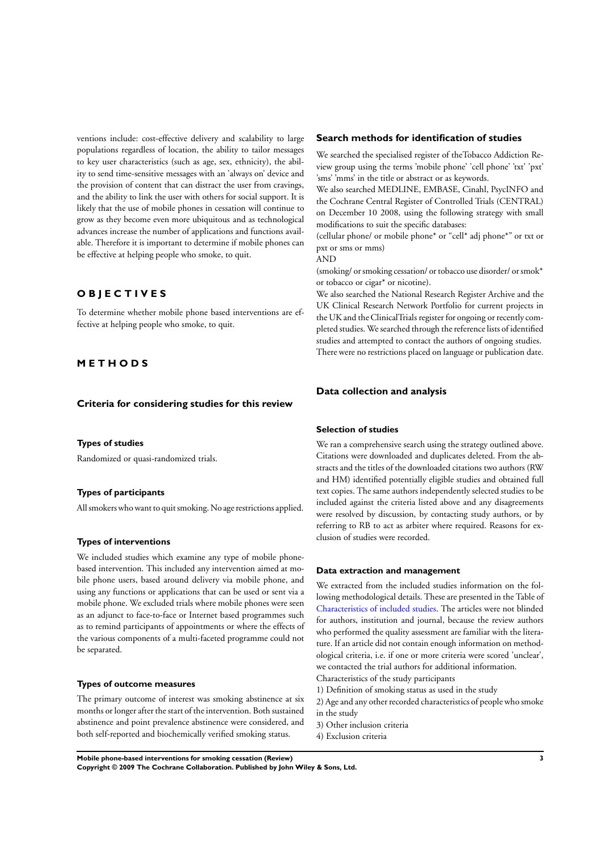ventions include: cost-effective delivery and scalability to large populations regardless of location, the ability to tailor messages to key user characteristics (such as age, sex, ethnicity), the ability to send time-sensitive messages with an 'always on' device and the provision of content that can distract the user from cravings, and the ability to link the user with others for social support. It is likely that the use of mobile phones in cessation will continue to grow as they become even more ubiquitous and as technological advances increase the number of applications and functions available. Therefore it is important to determine if mobile phones can be effective at helping people who smoke, to quit.

# **O B J E C T I V E S**

To determine whether mobile phone based interventions are effective at helping people who smoke, to quit.

# **M E T H O D S**

### **Criteria for considering studies for this review**

#### **Types of studies**

Randomized or quasi-randomized trials.

### **Types of participants**

All smokers who want to quit smoking. No age restrictions applied.

#### **Types of interventions**

We included studies which examine any type of mobile phonebased intervention. This included any intervention aimed at mobile phone users, based around delivery via mobile phone, and using any functions or applications that can be used or sent via a mobile phone. We excluded trials where mobile phones were seen as an adjunct to face-to-face or Internet based programmes such as to remind participants of appointments or where the effects of the various components of a multi-faceted programme could not be separated.

#### **Types of outcome measures**

The primary outcome of interest was smoking abstinence at six months or longer after the start of the intervention. Both sustained abstinence and point prevalence abstinence were considered, and both self-reported and biochemically verified smoking status.

### **Search methods for identification of studies**

We searched the specialised register of theTobacco Addiction Review group using the terms 'mobile phone' 'cell phone' 'txt' 'pxt' 'sms' 'mms' in the title or abstract or as keywords.

We also searched MEDLINE, EMBASE, Cinahl, PsycINFO and the Cochrane Central Register of Controlled Trials (CENTRAL) on December 10 2008, using the following strategy with small modifications to suit the specific databases:

(cellular phone/ or mobile phone\* or "cell\* adj phone\*" or txt or pxt or sms or mms)

AND

(smoking/ or smoking cessation/ or tobacco use disorder/ or smok\* or tobacco or cigar\* or nicotine).

We also searched the National Research Register Archive and the UK Clinical Research Network Portfolio for current projects in the UK and the ClinicalTrials register for ongoing or recently completed studies. We searched through the reference lists of identified studies and attempted to contact the authors of ongoing studies. There were no restrictions placed on language or publication date.

### **Data collection and analysis**

#### **Selection of studies**

We ran a comprehensive search using the strategy outlined above. Citations were downloaded and duplicates deleted. From the abstracts and the titles of the downloaded citations two authors (RW and HM) identified potentially eligible studies and obtained full text copies. The same authors independently selected studies to be included against the criteria listed above and any disagreements were resolved by discussion, by contacting study authors, or by referring to RB to act as arbiter where required. Reasons for exclusion of studies were recorded.

#### **Data extraction and management**

We extracted from the included studies information on the following methodological details. These are presented in the Table of [Characteristics of included studies.](#page-12-0) The articles were not blinded for authors, institution and journal, because the review authors who performed the quality assessment are familiar with the literature. If an article did not contain enough information on methodological criteria, i.e. if one or more criteria were scored 'unclear', we contacted the trial authors for additional information.

- Characteristics of the study participants
- 1) Definition of smoking status as used in the study
- 2) Age and any other recorded characteristics of people who smoke
- in the study
- 3) Other inclusion criteria
- 4) Exclusion criteria

**Mobile phone-based interventions for smoking cessation (Review) 3**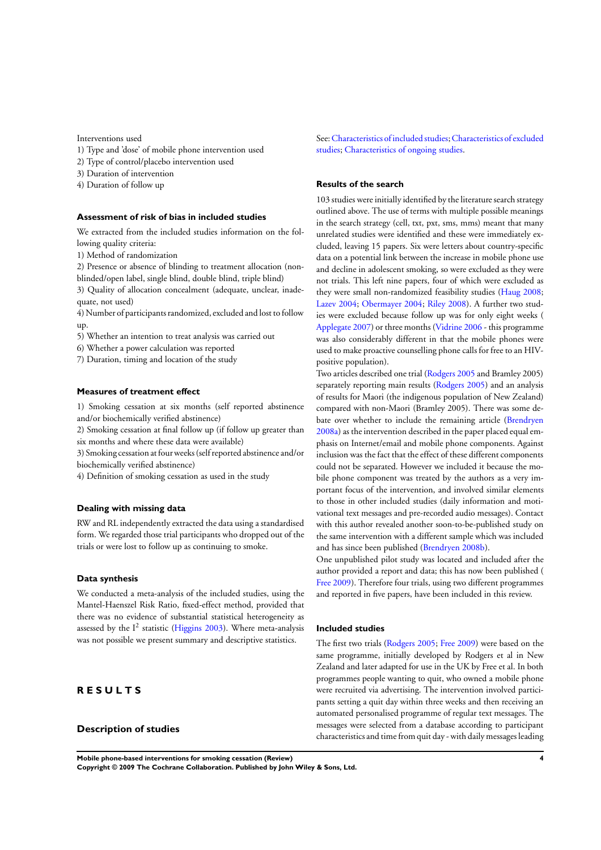Interventions used

- 1) Type and 'dose' of mobile phone intervention used
- 2) Type of control/placebo intervention used
- 3) Duration of intervention
- 4) Duration of follow up

# **Assessment of risk of bias in included studies**

We extracted from the included studies information on the following quality criteria:

1) Method of randomization

2) Presence or absence of blinding to treatment allocation (nonblinded/open label, single blind, double blind, triple blind)

3) Quality of allocation concealment (adequate, unclear, inadequate, not used)

4) Number of participants randomized, excluded and lost to follow up.

5) Whether an intention to treat analysis was carried out

6) Whether a power calculation was reported

7) Duration, timing and location of the study

#### **Measures of treatment effect**

1) Smoking cessation at six months (self reported abstinence and/or biochemically verified abstinence)

2) Smoking cessation at final follow up (if follow up greater than six months and where these data were available)

3) Smoking cessation at four weeks (self reported abstinence and/or biochemically verified abstinence)

4) Definition of smoking cessation as used in the study

#### **Dealing with missing data**

RW and RL independently extracted the data using a standardised form. We regarded those trial participants who dropped out of the trials or were lost to follow up as continuing to smoke.

### **Data synthesis**

We conducted a meta-analysis of the included studies, using the Mantel-Haenszel Risk Ratio, fixed-effect method, provided that there was no evidence of substantial statistical heterogeneity as assessed by the  $I^2$  statistic ([Higgins 2003\)](#page-10-0). Where meta-analysis was not possible we present summary and descriptive statistics.

# **R E S U L T S**

#### **Description of studies**

See:[Characteristics of included studies;](#page-12-0)[Characteristics of excluded](#page-15-0) [studies;](#page-15-0) [Characteristics of ongoing studies](#page-16-0).

### **Results of the search**

103 studies were initially identified by the literature search strategy outlined above. The use of terms with multiple possible meanings in the search strategy (cell, txt, pxt, sms, mms) meant that many unrelated studies were identified and these were immediately excluded, leaving 15 papers. Six were letters about country-specific data on a potential link between the increase in mobile phone use and decline in adolescent smoking, so were excluded as they were not trials. This left nine papers, four of which were excluded as they were small non-randomized feasibility studies ([Haug 2008;](#page-10-0) [Lazev 2004](#page-10-0); [Obermayer 2004](#page-10-0); [Riley 2008\)](#page-10-0). A further two studies were excluded because follow up was for only eight weeks ( [Applegate 2007](#page-10-0)) or three months [\(Vidrine 2006](#page-10-0) - this programme was also considerably different in that the mobile phones were used to make proactive counselling phone calls for free to an HIVpositive population).

Two articles described one trial ([Rodgers 2005](#page-10-0) and Bramley 2005) separately reporting main results ([Rodgers 2005](#page-10-0)) and an analysis of results for Maori (the indigenous population of New Zealand) compared with non-Maori (Bramley 2005). There was some debate over whether to include the remaining article ([Brendryen](#page-10-0) [2008a\)](#page-10-0) as the intervention described in the paper placed equal emphasis on Internet/email and mobile phone components. Against inclusion was the fact that the effect of these different components could not be separated. However we included it because the mobile phone component was treated by the authors as a very important focus of the intervention, and involved similar elements to those in other included studies (daily information and motivational text messages and pre-recorded audio messages). Contact with this author revealed another soon-to-be-published study on the same intervention with a different sample which was included and has since been published ([Brendryen 2008b](#page-10-0)).

One unpublished pilot study was located and included after the author provided a report and data; this has now been published ( [Free 2009\)](#page-10-0). Therefore four trials, using two different programmes and reported in five papers, have been included in this review.

#### **Included studies**

The first two trials ([Rodgers 2005](#page-10-0); [Free 2009\)](#page-10-0) were based on the same programme, initially developed by Rodgers et al in New Zealand and later adapted for use in the UK by Free et al. In both programmes people wanting to quit, who owned a mobile phone were recruited via advertising. The intervention involved participants setting a quit day within three weeks and then receiving an automated personalised programme of regular text messages. The messages were selected from a database according to participant characteristics and time from quit day - with daily messages leading

**Mobile phone-based interventions for smoking cessation (Review) 4**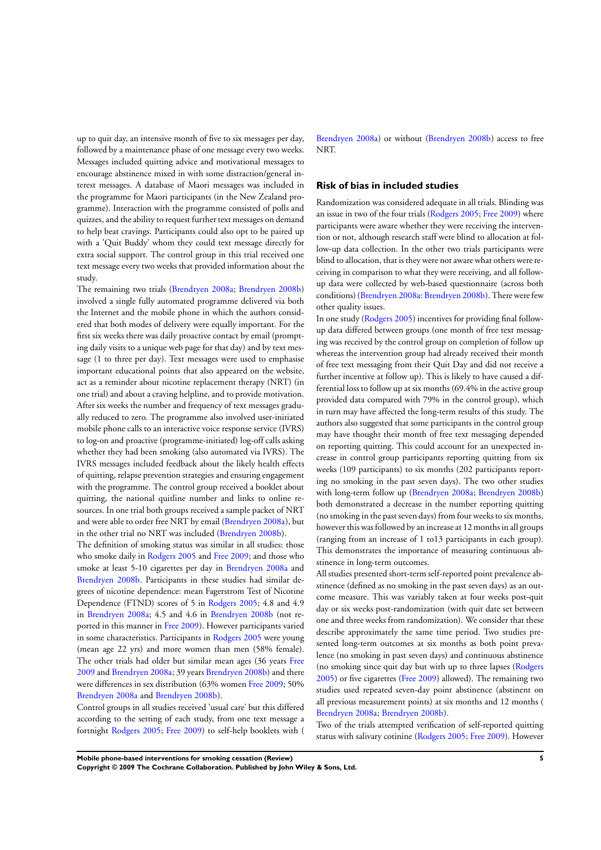up to quit day, an intensive month of five to six messages per day, followed by a maintenance phase of one message every two weeks. Messages included quitting advice and motivational messages to encourage abstinence mixed in with some distraction/general interest messages. A database of Maori messages was included in the programme for Maori participants (in the New Zealand programme). Interaction with the programme consisted of polls and quizzes, and the ability to request further text messages on demand to help beat cravings. Participants could also opt to be paired up with a 'Quit Buddy' whom they could text message directly for extra social support. The control group in this trial received one text message every two weeks that provided information about the study.

The remaining two trials [\(Brendryen 2008a](#page-10-0); [Brendryen 2008b](#page-10-0)) involved a single fully automated programme delivered via both the Internet and the mobile phone in which the authors considered that both modes of delivery were equally important. For the first six weeks there was daily proactive contact by email (prompting daily visits to a unique web page for that day) and by text message (1 to three per day). Text messages were used to emphasise important educational points that also appeared on the website, act as a reminder about nicotine replacement therapy (NRT) (in one trial) and about a craving helpline, and to provide motivation. After six weeks the number and frequency of text messages gradually reduced to zero. The programme also involved user-initiated mobile phone calls to an interactive voice response service (IVRS) to log-on and proactive (programme-initiated) log-off calls asking whether they had been smoking (also automated via IVRS). The IVRS messages included feedback about the likely health effects of quitting, relapse prevention strategies and ensuring engagement with the programme. The control group received a booklet about quitting, the national quitline number and links to online resources. In one trial both groups received a sample packet of NRT and were able to order free NRT by email [\(Brendryen 2008a](#page-10-0)), but in the other trial no NRT was included [\(Brendryen 2008b\)](#page-10-0).

The definition of smoking status was similar in all studies: those who smoke daily in [Rodgers 2005](#page-10-0) and [Free 2009](#page-10-0); and those who smoke at least 5-10 cigarettes per day in [Brendryen 2008a](#page-10-0) and [Brendryen 2008b.](#page-10-0) Participants in these studies had similar degrees of nicotine dependence: mean Fagerstrom Test of Nicotine Dependence (FTND) scores of 5 in [Rodgers 2005](#page-10-0); 4.8 and 4.9 in [Brendryen 2008a;](#page-10-0) 4.5 and 4.6 in [Brendryen 2008b](#page-10-0) (not reported in this manner in [Free 2009](#page-10-0)). However participants varied in some characteristics. Participants in [Rodgers 2005](#page-10-0) were young (mean age 22 yrs) and more women than men (58% female). The other trials had older but similar mean ages (36 years [Free](#page-10-0) [2009](#page-10-0) and [Brendryen 2008a](#page-10-0); 39 years [Brendryen 2008b\)](#page-10-0) and there were differences in sex distribution (63% women [Free 2009](#page-10-0); 50% [Brendryen 2008a](#page-10-0) and [Brendryen 2008b](#page-10-0)).

Control groups in all studies received 'usual care' but this differed according to the setting of each study, from one text message a fortnight [Rodgers 2005](#page-10-0); [Free 2009\)](#page-10-0) to self-help booklets with ( [Brendryen 2008a](#page-10-0)) or without [\(Brendryen 2008b](#page-10-0)) access to free NRT.

#### **Risk of bias in included studies**

Randomization was considered adequate in all trials. Blinding was an issue in two of the four trials ([Rodgers 2005](#page-10-0); [Free 2009\)](#page-10-0) where participants were aware whether they were receiving the intervention or not, although research staff were blind to allocation at follow-up data collection. In the other two trials participants were blind to allocation, that is they were not aware what others were receiving in comparison to what they were receiving, and all followup data were collected by web-based questionnaire (across both conditions) ([Brendryen 2008a](#page-10-0): [Brendryen 2008b](#page-10-0)). There were few other quality issues.

In one study ([Rodgers 2005\)](#page-10-0) incentives for providing final followup data differed between groups (one month of free text messaging was received by the control group on completion of follow up whereas the intervention group had already received their month of free text messaging from their Quit Day and did not receive a further incentive at follow up). This is likely to have caused a differential loss to follow up at six months (69.4% in the active group provided data compared with 79% in the control group), which in turn may have affected the long-term results of this study. The authors also suggested that some participants in the control group may have thought their month of free text messaging depended on reporting quitting. This could account for an unexpected increase in control group participants reporting quitting from six weeks (109 participants) to six months (202 participants reporting no smoking in the past seven days). The two other studies with long-term follow up ([Brendryen 2008a;](#page-10-0) [Brendryen 2008b](#page-10-0)) both demonstrated a decrease in the number reporting quitting (no smoking in the past seven days) from four weeks to six months, however this was followed by an increase at 12 months in all groups (ranging from an increase of 1 to13 participants in each group). This demonstrates the importance of measuring continuous abstinence in long-term outcomes.

All studies presented short-term self-reported point prevalence abstinence (defined as no smoking in the past seven days) as an outcome measure. This was variably taken at four weeks post-quit day or six weeks post-randomization (with quit date set between one and three weeks from randomization). We consider that these describe approximately the same time period. Two studies presented long-term outcomes at six months as both point prevalence (no smoking in past seven days) and continuous abstinence (no smoking since quit day but with up to three lapses [\(Rodgers](#page-10-0) [2005](#page-10-0)) or five cigarettes [\(Free 2009](#page-10-0)) allowed). The remaining two studies used repeated seven-day point abstinence (abstinent on all previous measurement points) at six months and 12 months ( [Brendryen 2008a](#page-10-0); [Brendryen 2008b](#page-10-0)).

Two of the trials attempted verification of self-reported quitting status with salivary cotinine [\(Rodgers 2005](#page-10-0); [Free 2009\)](#page-10-0). However

**Mobile phone-based interventions for smoking cessation (Review) 5**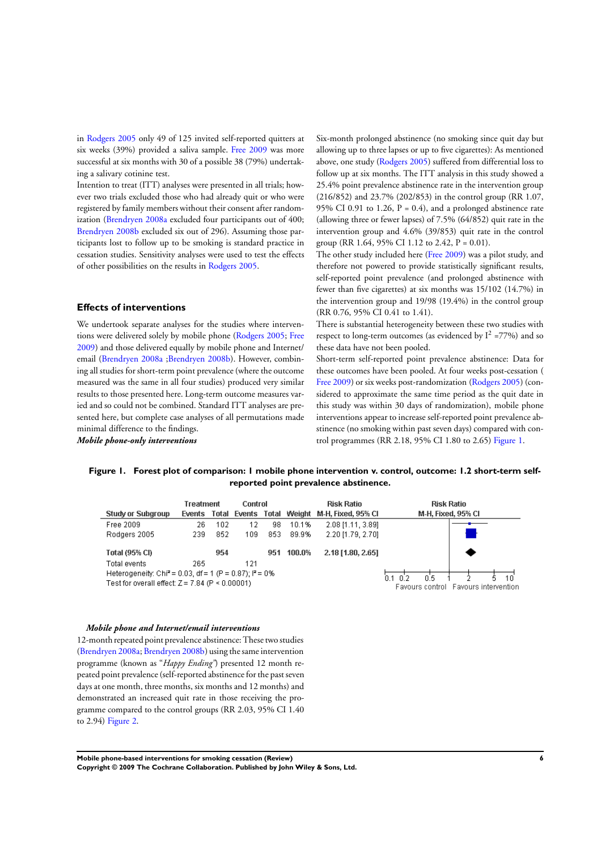in [Rodgers 2005](#page-10-0) only 49 of 125 invited self-reported quitters at six weeks (39%) provided a saliva sample. [Free 2009](#page-10-0) was more successful at six months with 30 of a possible 38 (79%) undertaking a salivary cotinine test.

Intention to treat (ITT) analyses were presented in all trials; however two trials excluded those who had already quit or who were registered by family members without their consent after randomization [\(Brendryen 2008a](#page-10-0) excluded four participants out of 400; [Brendryen 2008b](#page-10-0) excluded six out of 296). Assuming those participants lost to follow up to be smoking is standard practice in cessation studies. Sensitivity analyses were used to test the effects of other possibilities on the results in [Rodgers 2005.](#page-10-0)

### **Effects of interventions**

We undertook separate analyses for the studies where interventions were delivered solely by mobile phone ([Rodgers 2005](#page-10-0); [Free](#page-10-0) [2009](#page-10-0)) and those delivered equally by mobile phone and Internet/ email ([Brendryen 2008a](#page-10-0) ;[Brendryen 2008b](#page-10-0)). However, combining all studies for short-term point prevalence (where the outcome measured was the same in all four studies) produced very similar results to those presented here. Long-term outcome measures varied and so could not be combined. Standard ITT analyses are presented here, but complete case analyses of all permutations made minimal difference to the findings. *Mobile phone-only interventions*

Six-month prolonged abstinence (no smoking since quit day but allowing up to three lapses or up to five cigarettes): As mentioned above, one study [\(Rodgers 2005\)](#page-10-0) suffered from differential loss to follow up at six months. The ITT analysis in this study showed a 25.4% point prevalence abstinence rate in the intervention group (216/852) and 23.7% (202/853) in the control group (RR 1.07, 95% CI 0.91 to 1.26,  $P = 0.4$ ), and a prolonged abstinence rate (allowing three or fewer lapses) of 7.5% (64/852) quit rate in the intervention group and 4.6% (39/853) quit rate in the control group (RR 1.64, 95% CI 1.12 to 2.42, P = 0.01).

The other study included here ([Free 2009](#page-10-0)) was a pilot study, and therefore not powered to provide statistically significant results, self-reported point prevalence (and prolonged abstinence with fewer than five cigarettes) at six months was 15/102 (14.7%) in the intervention group and 19/98 (19.4%) in the control group (RR 0.76, 95% CI 0.41 to 1.41).

There is substantial heterogeneity between these two studies with respect to long-term outcomes (as evidenced by  $I^2 = 77\%$ ) and so these data have not been pooled.

Short-term self-reported point prevalence abstinence: Data for these outcomes have been pooled. At four weeks post-cessation ( [Free 2009\)](#page-10-0) or six weeks post-randomization [\(Rodgers 2005](#page-10-0)) (considered to approximate the same time period as the quit date in this study was within 30 days of randomization), mobile phone interventions appear to increase self-reported point prevalence abstinence (no smoking within past seven days) compared with control programmes (RR 2.18, 95% CI 1.80 to 2.65) Figure 1.

# **Figure 1. Forest plot of comparison: 1 mobile phone intervention v. control, outcome: 1.2 short-term selfreported point prevalence abstinence.**

|                                                                      | Treatment |     | Control |     |        | <b>Risk Ratio</b>                                   | <b>Risk Ratio</b>                    |
|----------------------------------------------------------------------|-----------|-----|---------|-----|--------|-----------------------------------------------------|--------------------------------------|
| <b>Study or Subgroup</b>                                             |           |     |         |     |        | Events Total Events Total Weight M-H, Fixed, 95% CI | M-H, Fixed, 95% CI                   |
| Free 2009                                                            | 26        | 102 | 12      | 98  | 10.1%  | 2.08 [1.11, 3.89]                                   |                                      |
| Rodgers 2005                                                         | 239       | 852 | 109     | 853 | 89.9%  | 2.20 [1.79, 2.70]                                   |                                      |
| Total (95% CI)                                                       |           | 954 |         | 951 | 100.0% | 2.18 [1.80, 2.65]                                   |                                      |
| Total events                                                         | 265       |     | 121     |     |        |                                                     |                                      |
| Heterogeneity: Chi <sup>2</sup> = 0.03, df = 1 (P = 0.87); $P = 0\%$ |           |     |         |     |        |                                                     | 10<br>0.5<br>- በ 2                   |
| Test for overall effect: $Z = 7.84$ (P < 0.00001)                    |           |     |         |     |        |                                                     | Favours control Favours intervention |

#### *Mobile phone and Internet/email interventions*

12-month repeated point prevalence abstinence: These two studies [\(Brendryen 2008a;](#page-10-0) [Brendryen 2008b\)](#page-10-0) using the same intervention programme (known as "*Happy Ending"*) presented 12 month repeated point prevalence (self-reported abstinence for the past seven days at one month, three months, six months and 12 months) and demonstrated an increased quit rate in those receiving the programme compared to the control groups (RR 2.03, 95% CI 1.40 to 2.94) [Figure 2](#page-8-0).

**Mobile phone-based interventions for smoking cessation (Review) 6 Copyright © 2009 The Cochrane Collaboration. Published by John Wiley & Sons, Ltd.**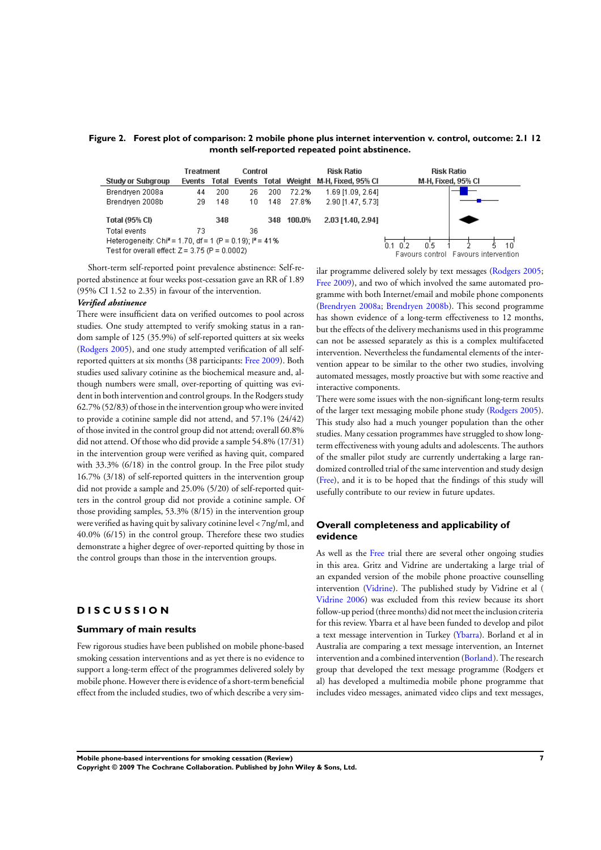<span id="page-8-0"></span>

| Figure 2. Forest plot of comparison: 2 mobile phone plus internet intervention v. control, outcome: 2.1 12 |
|------------------------------------------------------------------------------------------------------------|
| month self-reported repeated point abstinence.                                                             |

|                                                                       | Treatment |     | Control                   |     |        | <b>Risk Ratio</b>  | <b>Risk Ratio</b>                    |  |
|-----------------------------------------------------------------------|-----------|-----|---------------------------|-----|--------|--------------------|--------------------------------------|--|
| <b>Study or Subgroup</b>                                              | Events    |     | <b>Total Events Total</b> |     | Weight | M-H, Fixed, 95% CI | <b>M-H, Fixed, 95% CI</b>            |  |
| Brendryen 2008a                                                       | 44        | 200 | 26                        | 200 | 72.2%  | 1.69 [1.09, 2.64]  |                                      |  |
| Brendryen 2008b                                                       | 29        | 148 | 10                        | 148 | 27.8%  | 2.90 [1.47, 5.73]  |                                      |  |
| Total (95% CI)                                                        |           | 348 |                           | 348 | 100.0% | 2.03 [1.40, 2.94]  |                                      |  |
| Total events                                                          | 73        |     | 36                        |     |        |                    |                                      |  |
| Heterogeneity: Chi <sup>2</sup> = 1.70, df = 1 (P = 0.19); $P = 41\%$ |           |     |                           |     |        |                    | 0.5<br>-0.2<br>10                    |  |
| Test for overall effect: $Z = 3.75$ (P = 0.0002)                      |           |     |                           |     |        |                    | Favours control Favours intervention |  |

Short-term self-reported point prevalence abstinence: Self-reported abstinence at four weeks post-cessation gave an RR of 1.89 (95% CI 1.52 to 2.35) in favour of the intervention.

### *Verified abstinence*

There were insufficient data on verified outcomes to pool across studies. One study attempted to verify smoking status in a random sample of 125 (35.9%) of self-reported quitters at six weeks [\(Rodgers 2005\)](#page-10-0), and one study attempted verification of all selfreported quitters at six months (38 participants: [Free 2009\)](#page-10-0). Both studies used salivary cotinine as the biochemical measure and, although numbers were small, over-reporting of quitting was evident in both intervention and control groups. In the Rodgers study 62.7% (52/83) of those in the intervention group who were invited to provide a cotinine sample did not attend, and 57.1% (24/42) of those invited in the control group did not attend; overall 60.8% did not attend. Of those who did provide a sample 54.8% (17/31) in the intervention group were verified as having quit, compared with 33.3% (6/18) in the control group. In the Free pilot study 16.7% (3/18) of self-reported quitters in the intervention group did not provide a sample and 25.0% (5/20) of self-reported quitters in the control group did not provide a cotinine sample. Of those providing samples, 53.3% (8/15) in the intervention group were verified as having quit by salivary cotinine level < 7ng/ml, and 40.0% (6/15) in the control group. Therefore these two studies demonstrate a higher degree of over-reported quitting by those in the control groups than those in the intervention groups.

## **D I S C U S S I O N**

#### **Summary of main results**

Few rigorous studies have been published on mobile phone-based smoking cessation interventions and as yet there is no evidence to support a long-term effect of the programmes delivered solely by mobile phone. However there is evidence of a short-term beneficial effect from the included studies, two of which describe a very sim-

ilar programme delivered solely by text messages [\(Rodgers 2005;](#page-10-0) [Free 2009](#page-10-0)), and two of which involved the same automated programme with both Internet/email and mobile phone components [\(Brendryen 2008a](#page-10-0); [Brendryen 2008b](#page-10-0)). This second programme has shown evidence of a long-term effectiveness to 12 months, but the effects of the delivery mechanisms used in this programme can not be assessed separately as this is a complex multifaceted intervention. Nevertheless the fundamental elements of the intervention appear to be similar to the other two studies, involving automated messages, mostly proactive but with some reactive and interactive components.

There were some issues with the non-significant long-term results of the larger text messaging mobile phone study ([Rodgers 2005](#page-10-0)). This study also had a much younger population than the other studies. Many cessation programmes have struggled to show longterm effectiveness with young adults and adolescents. The authors of the smaller pilot study are currently undertaking a large randomized controlled trial of the same intervention and study design [\(Free\)](#page-10-0), and it is to be hoped that the findings of this study will usefully contribute to our review in future updates.

# **Overall completeness and applicability of evidence**

As well as the [Free](#page-10-0) trial there are several other ongoing studies in this area. Gritz and Vidrine are undertaking a large trial of an expanded version of the mobile phone proactive counselling intervention [\(Vidrine\)](#page-10-0). The published study by Vidrine et al ( [Vidrine 2006](#page-10-0)) was excluded from this review because its short follow-up period (three months) did not meet the inclusion criteria for this review. Ybarra et al have been funded to develop and pilot a text message intervention in Turkey ([Ybarra](#page-10-0)). Borland et al in Australia are comparing a text message intervention, an Internet intervention and a combined intervention ([Borland](#page-10-0)). The research group that developed the text message programme (Rodgers et al) has developed a multimedia mobile phone programme that includes video messages, animated video clips and text messages,

**Mobile phone-based interventions for smoking cessation (Review) 7 Copyright © 2009 The Cochrane Collaboration. Published by John Wiley & Sons, Ltd.**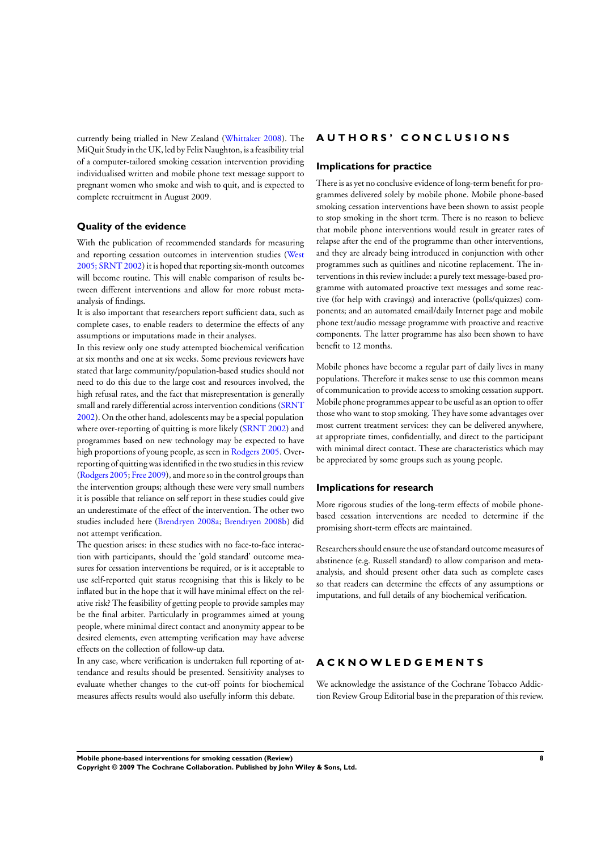currently being trialled in New Zealand [\(Whittaker 2008](#page-10-0)). The MiQuit Study in the UK, led by Felix Naughton, is afeasibility trial of a computer-tailored smoking cessation intervention providing individualised written and mobile phone text message support to pregnant women who smoke and wish to quit, and is expected to complete recruitment in August 2009.

### **Quality of the evidence**

With the publication of recommended standards for measuring and reporting cessation outcomes in intervention studies [\(West](#page-10-0) [2005; SRNT 2002\)](#page-10-0) it is hoped that reporting six-month outcomes will become routine. This will enable comparison of results between different interventions and allow for more robust metaanalysis of findings.

It is also important that researchers report sufficient data, such as complete cases, to enable readers to determine the effects of any assumptions or imputations made in their analyses.

In this review only one study attempted biochemical verification at six months and one at six weeks. Some previous reviewers have stated that large community/population-based studies should not need to do this due to the large cost and resources involved, the high refusal rates, and the fact that misrepresentation is generally small and rarely differential across intervention conditions [\(SRNT](#page-10-0) [2002](#page-10-0)). On the other hand, adolescents may be a special population where over-reporting of quitting is more likely [\(SRNT 2002](#page-10-0)) and programmes based on new technology may be expected to have high proportions of young people, as seen in [Rodgers 2005.](#page-10-0) Overreporting of quitting was identified in the two studies in this review [\(Rodgers 2005;](#page-10-0) [Free 2009](#page-10-0)), and more so in the control groups than the intervention groups; although these were very small numbers it is possible that reliance on self report in these studies could give an underestimate of the effect of the intervention. The other two studies included here [\(Brendryen 2008a](#page-10-0); [Brendryen 2008b](#page-10-0)) did not attempt verification.

The question arises: in these studies with no face-to-face interaction with participants, should the 'gold standard' outcome measures for cessation interventions be required, or is it acceptable to use self-reported quit status recognising that this is likely to be inflated but in the hope that it will have minimal effect on the relative risk? The feasibility of getting people to provide samples may be the final arbiter. Particularly in programmes aimed at young people, where minimal direct contact and anonymity appear to be desired elements, even attempting verification may have adverse effects on the collection of follow-up data.

In any case, where verification is undertaken full reporting of attendance and results should be presented. Sensitivity analyses to evaluate whether changes to the cut-off points for biochemical measures affects results would also usefully inform this debate.

# **A U T H O R S ' C O N C L U S I O N S**

#### **Implications for practice**

There is as yet no conclusive evidence of long-term benefit for programmes delivered solely by mobile phone. Mobile phone-based smoking cessation interventions have been shown to assist people to stop smoking in the short term. There is no reason to believe that mobile phone interventions would result in greater rates of relapse after the end of the programme than other interventions, and they are already being introduced in conjunction with other programmes such as quitlines and nicotine replacement. The interventions in this review include: a purely text message-based programme with automated proactive text messages and some reactive (for help with cravings) and interactive (polls/quizzes) components; and an automated email/daily Internet page and mobile phone text/audio message programme with proactive and reactive components. The latter programme has also been shown to have benefit to 12 months.

Mobile phones have become a regular part of daily lives in many populations. Therefore it makes sense to use this common means of communication to provide access to smoking cessation support. Mobile phone programmes appear to be useful as an option to offer those who want to stop smoking. They have some advantages over most current treatment services: they can be delivered anywhere, at appropriate times, confidentially, and direct to the participant with minimal direct contact. These are characteristics which may be appreciated by some groups such as young people.

### **Implications for research**

More rigorous studies of the long-term effects of mobile phonebased cessation interventions are needed to determine if the promising short-term effects are maintained.

Researchers should ensure the use of standard outcome measures of abstinence (e.g. Russell standard) to allow comparison and metaanalysis, and should present other data such as complete cases so that readers can determine the effects of any assumptions or imputations, and full details of any biochemical verification.

# **A C K N O W L E D G E M E N T S**

We acknowledge the assistance of the Cochrane Tobacco Addiction Review Group Editorial base in the preparation of this review.

**Mobile phone-based interventions for smoking cessation (Review) 8 Copyright © 2009 The Cochrane Collaboration. Published by John Wiley & Sons, Ltd.**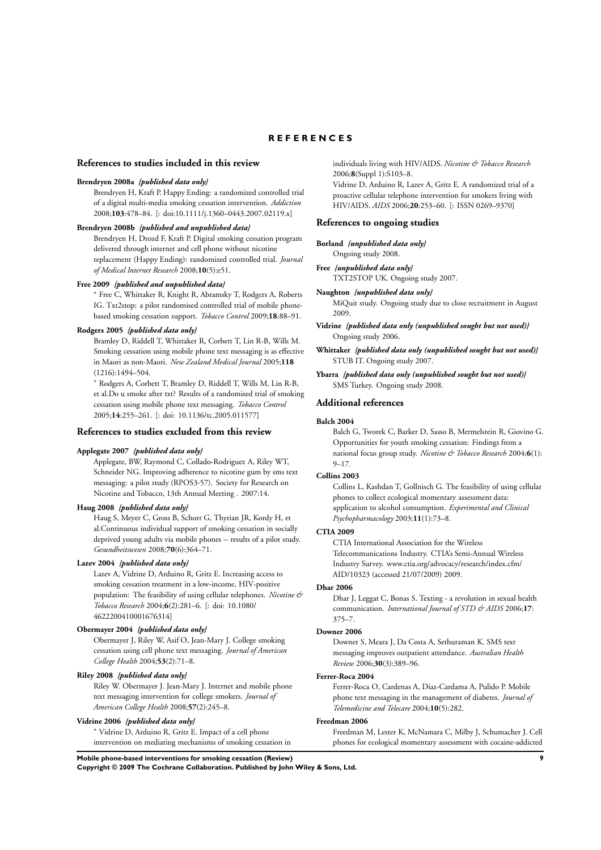### **R E F E R E N C E S**

#### <span id="page-10-0"></span>**References to studies included in this review**

### **Brendryen 2008a** *{published data only}*

Brendryen H, Kraft P. Happy Ending: a randomized controlled trial of a digital multi-media smoking cessation intervention. *Addiction* 2008;**103**:478–84. [: doi:10.1111/j.1360–0443.2007.02119.x]

#### **Brendryen 2008b** *{published and unpublished data}*

Brendryen H, Drozd F, Kraft P. Digital smoking cessation program delivered through internet and cell phone without nicotine replacement (Happy Ending): randomized controlled trial. *Journal of Medical Internet Research* 2008;**10**(5):e51.

#### **Free 2009** *{published and unpublished data}*

<sup>∗</sup> Free C, Whittaker R, Knight R, Abramsky T, Rodgers A, Roberts IG. Txt2stop: a pilot randomised controlled trial of mobile phonebased smoking cessation support. *Tobacco Control* 2009;**18**:88–91.

#### **Rodgers 2005** *{published data only}*

Bramley D, Riddell T, Whittaker R, Corbett T, Lin R-B, Wills M. Smoking cessation using mobile phone text messaging is as effective in Maori as non-Maori. *New Zealand Medical Journal* 2005;**118** (1216):1494–504.

<sup>∗</sup> Rodgers A, Corbett T, Bramley D, Riddell T, Wills M, Lin R-B, et al.Do u smoke after txt? Results of a randomised trial of smoking cessation using mobile phone text messaging. *Tobacco Control* 2005;**14**:255–261. [: doi: 10.1136/tc.2005.011577]

#### **References to studies excluded from this review**

#### **Applegate 2007** *{published data only}*

Applegate, BW, Raymond C, Collado-Rodriguez A, Riley WT, Schneider NG. Improving adherence to nicotine gum by sms text messaging: a pilot study (RPOS3-57). Society for Research on Nicotine and Tobacco, 13th Annual Meeting . 2007:14.

### **Haug 2008** *{published data only}*

Haug S, Meyer C, Gross B, Schorr G, Thyrian JR, Kordy H, et al.Continuous individual support of smoking cessation in socially deprived young adults via mobile phones -- results of a pilot study. *Gesundheitswesen* 2008;**70**(6):364–71.

#### **Lazev 2004** *{published data only}*

Lazev A, Vidrine D, Arduino R, Gritz E. Increasing access to smoking cessation treatment in a low-income, HIV-positive population: The feasibility of using cellular telephones. *Nicotine & Tobacco Research* 2004;**6**(2):281–6. [: doi: 10.1080/ 4622200410001676314]

#### **Obermayer 2004** *{published data only}*

Obermayer J, Riley W, Asif O, Jean-Mary J. College smoking cessation using cell phone text messaging. *Journal of American College Health* 2004;**53**(2):71–8.

#### **Riley 2008** *{published data only}*

Riley W. Obermayer J. Jean-Mary J. Internet and mobile phone text messaging intervention for college smokers. *Journal of American College Health* 2008;**57**(2):245–8.

#### **Vidrine 2006** *{published data only}*

<sup>∗</sup> Vidrine D, Arduino R, Gritz E. Impact of a cell phone intervention on mediating mechanisms of smoking cessation in individuals living with HIV/AIDS. *Nicotine & Tobacco Research* 2006;**8**(Suppl 1):S103–8.

Vidrine D, Arduino R, Lazev A, Gritz E. A randomized trial of a proactive cellular telephone intervention for smokers living with HIV/AIDS. *AIDS* 2006;**20**:253–60. [: ISSN 0269–9370]

#### **References to ongoing studies**

#### **Borland** *{unpublished data only}* Ongoing study 2008.

**Free** *{unpublished data only}* TXT2STOP UK. Ongoing study 2007.

# **Naughton** *{unpublished data only}*

MiQuit study. Ongoing study due to close recruitment in August 2009.

### **Vidrine** *{published data only (unpublished sought but not used)}* Ongoing study 2006.

**Whittaker** *{published data only (unpublished sought but not used)}* STUB IT. Ongoing study 2007.

**Ybarra** *{published data only (unpublished sought but not used)}* SMS Turkey. Ongoing study 2008.

#### **Additional references**

#### **Balch 2004**

Balch G, Tworek C, Barker D, Sasso B, Mermelstein R, Giovino G. Opportunities for youth smoking cessation: Findings from a national focus group study. *Nicotine & Tobacco Research* 2004;**6**(1): 9–17.

#### **Collins 2003**

Collins L, Kashdan T, Gollnisch G. The feasibility of using cellular phones to collect ecological momentary assessment data: application to alcohol consumption. *Experimental and Clinical Psychopharmacology* 2003;**11**(1):73–8.

### **CTIA 2009**

CTIA International Association for the Wireless Telecommunications Industry. CTIA's Semi-Annual Wireless Industry Survey. www.ctia.org/advocacy/research/index.cfm/ AID/10323 (accessed 21/07/2009) 2009.

#### **Dhar 2006**

Dhar J, Leggat C, Bonas S. Texting - a revolution in sexual health communication. *International Journal of STD & AIDS* 2006;**17**: 375–7.

#### **Downer 2006**

Downer S, Meara J, Da Costa A, Sethuraman K. SMS text messaging improves outpatient attendance. *Australian Health Review* 2006;**30**(3):389–96.

#### **Ferrer-Roca 2004**

Ferrer-Roca O, Cardenas A, Diaz-Cardama A, Pulido P. Mobile phone text messaging in the management of diabetes. *Journal of Telemedicine and Telecare* 2004;**10**(5):282.

#### **Freedman 2006**

Freedman M, Lester K, McNamara C, Milby J, Schumacher J. Cell phones for ecological momentary assessment with cocaine-addicted

**Mobile phone-based interventions for smoking cessation (Review) 9**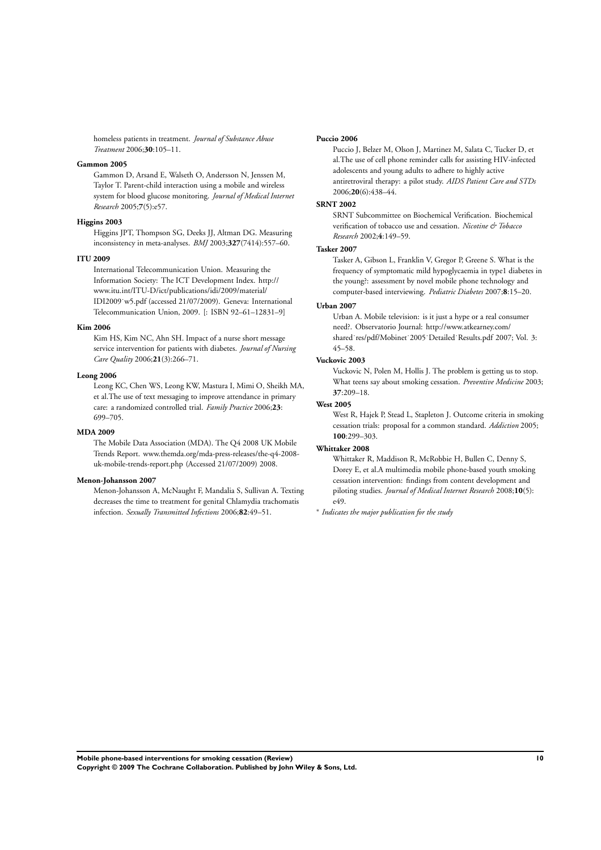homeless patients in treatment. *Journal of Substance Abuse Treatment* 2006;**30**:105–11.

#### **Gammon 2005**

Gammon D, Arsand E, Walseth O, Andersson N, Jenssen M, Taylor T. Parent-child interaction using a mobile and wireless system for blood glucose monitoring. *Journal of Medical Internet Research* 2005;**7**(5):e57.

#### **Higgins 2003**

Higgins JPT, Thompson SG, Deeks JJ, Altman DG. Measuring inconsistency in meta-analyses. *BMJ* 2003;**327**(7414):557–60.

### **ITU 2009**

International Telecommunication Union. Measuring the Information Society: The ICT Development Index. http:// www.itu.int/ITU-D/ict/publications/idi/2009/material/ IDI2009˙w5.pdf (accessed 21/07/2009). Geneva: International Telecommunication Union, 2009. [: ISBN 92–61–12831–9]

#### **Kim 2006**

Kim HS, Kim NC, Ahn SH. Impact of a nurse short message service intervention for patients with diabetes. *Journal of Nursing Care Quality* 2006;**21**(3):266–71.

# **Leong 2006**

Leong KC, Chen WS, Leong KW, Mastura I, Mimi O, Sheikh MA, et al.The use of text messaging to improve attendance in primary care: a randomized controlled trial. *Family Practice* 2006;**23**: 699–705.

#### **MDA 2009**

The Mobile Data Association (MDA). The Q4 2008 UK Mobile Trends Report. www.themda.org/mda-press-releases/the-q4-2008 uk-mobile-trends-report.php (Accessed 21/07/2009) 2008.

#### **Menon-Johansson 2007**

Menon-Johansson A, McNaught F, Mandalia S, Sullivan A. Texting decreases the time to treatment for genital Chlamydia trachomatis infection. *Sexually Transmitted Infections* 2006;**82**:49–51.

#### **Puccio 2006**

Puccio J, Belzer M, Olson J, Martinez M, Salata C, Tucker D, et al.The use of cell phone reminder calls for assisting HIV-infected adolescents and young adults to adhere to highly active antiretroviral therapy: a pilot study. *AIDS Patient Care and STDs* 2006;**20**(6):438–44.

### **SRNT 2002**

SRNT Subcommittee on Biochemical Verification. Biochemical verification of tobacco use and cessation. *Nicotine & Tobacco Research* 2002;**4**:149–59.

#### **Tasker 2007**

Tasker A, Gibson L, Franklin V, Gregor P, Greene S. What is the frequency of symptomatic mild hypoglycaemia in type1 diabetes in the young?: assessment by novel mobile phone technology and computer-based interviewing. *Pediatric Diabetes* 2007;**8**:15–20.

#### **Urban 2007**

Urban A. Mobile television: is it just a hype or a real consumer need?. Observatorio Journal: http://www.atkearney.com/ shared˙res/pdf/Mobinet˙2005˙Detailed˙Results.pdf 2007; Vol. 3: 45–58.

#### **Vuckovic 2003**

Vuckovic N, Polen M, Hollis J. The problem is getting us to stop. What teens say about smoking cessation. *Preventive Medicine* 2003; **37**:209–18.

#### **West 2005**

West R, Hajek P, Stead L, Stapleton J. Outcome criteria in smoking cessation trials: proposal for a common standard. *Addiction* 2005; **100**:299–303.

### **Whittaker 2008**

Whittaker R, Maddison R, McRobbie H, Bullen C, Denny S, Dorey E, et al.A multimedia mobile phone-based youth smoking cessation intervention: findings from content development and piloting studies. *Journal of Medical Internet Research* 2008;**10**(5): e49.

∗ *Indicates the major publication for the study*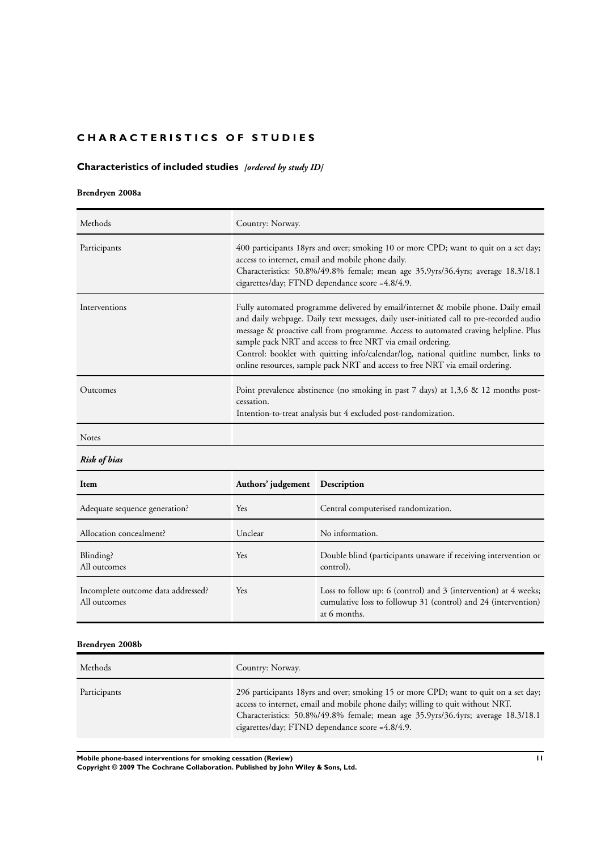# <span id="page-12-0"></span>**CHARACTERISTICS OF STUDIES**

# **Characteristics of included studies** *[ordered by study ID]*

# **Brendryen 2008a**

| Methods       | Country: Norway.                                                                                                                                                                                                                                                                                                                                                                                                                                                                                          |
|---------------|-----------------------------------------------------------------------------------------------------------------------------------------------------------------------------------------------------------------------------------------------------------------------------------------------------------------------------------------------------------------------------------------------------------------------------------------------------------------------------------------------------------|
| Participants  | 400 participants 18yrs and over; smoking 10 or more CPD; want to quit on a set day;<br>access to internet, email and mobile phone daily.<br>Characteristics: 50.8%/49.8% female; mean age 35.9yrs/36.4yrs; average 18.3/18.1<br>cigarettes/day; FTND dependance score = 4.8/4.9.                                                                                                                                                                                                                          |
| Interventions | Fully automated programme delivered by email/internet & mobile phone. Daily email<br>and daily webpage. Daily text messages, daily user-initiated call to pre-recorded audio<br>message & proactive call from programme. Access to automated craving helpline. Plus<br>sample pack NRT and access to free NRT via email ordering.<br>Control: booklet with quitting info/calendar/log, national quitline number, links to<br>online resources, sample pack NRT and access to free NRT via email ordering. |
| Outcomes      | Point prevalence abstinence (no smoking in past 7 days) at $1,3,6 \& 12$ months post-<br>cessation.<br>Intention-to-treat analysis but 4 excluded post-randomization.                                                                                                                                                                                                                                                                                                                                     |
| <b>Notes</b>  |                                                                                                                                                                                                                                                                                                                                                                                                                                                                                                           |

# *Risk of bias*

| Item                                               | Authors' judgement | <b>Description</b>                                                                                                                                |
|----------------------------------------------------|--------------------|---------------------------------------------------------------------------------------------------------------------------------------------------|
| Adequate sequence generation?                      | Yes                | Central computerised randomization.                                                                                                               |
| Allocation concealment?                            | Unclear            | No information.                                                                                                                                   |
| Blinding?<br>All outcomes                          | Yes                | Double blind (participants unaware if receiving intervention or<br>control).                                                                      |
| Incomplete outcome data addressed?<br>All outcomes | Yes                | Loss to follow up: 6 (control) and 3 (intervention) at 4 weeks;<br>cumulative loss to followup 31 (control) and 24 (intervention)<br>at 6 months. |

# **Brendryen 2008b**

| Methods      | Country: Norway.                                                                                                                                                                                                                                                                                              |
|--------------|---------------------------------------------------------------------------------------------------------------------------------------------------------------------------------------------------------------------------------------------------------------------------------------------------------------|
| Participants | 296 participants 18yrs and over; smoking 15 or more CPD; want to quit on a set day;<br>access to internet, email and mobile phone daily; willing to quit without NRT.<br>Characteristics: 50.8%/49.8% female; mean age 35.9yrs/36.4yrs; average 18.3/18.1<br>cigarettes/day; FTND dependance score = 4.8/4.9. |

**Mobile phone-based interventions for smoking cessation (Review) 11**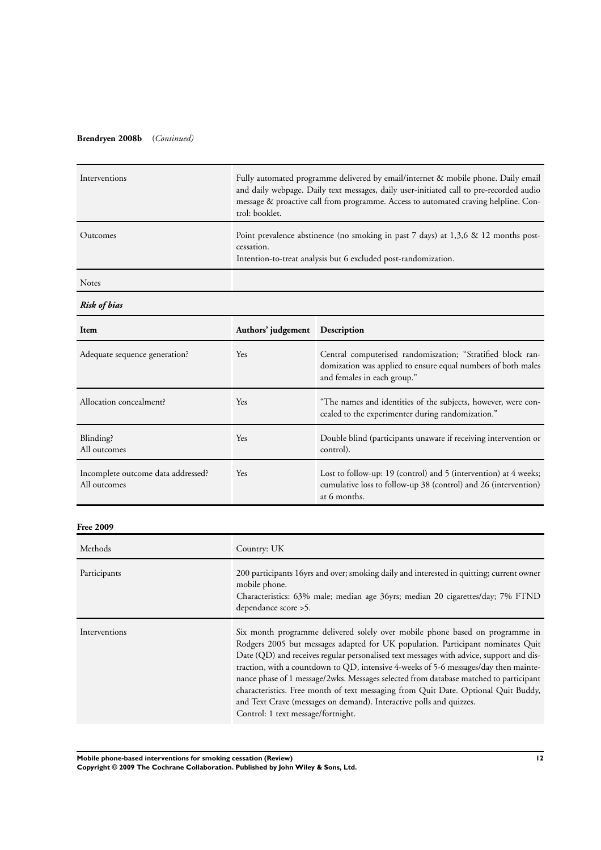# **Brendryen 2008b** (*Continued)*

| Interventions   | Fully automated programme delivered by email/internet & mobile phone. Daily email<br>and daily webpage. Daily text messages, daily user-initiated call to pre-recorded audio<br>message & proactive call from programme. Access to automated craving helpline. Con-<br>trol: booklet. |
|-----------------|---------------------------------------------------------------------------------------------------------------------------------------------------------------------------------------------------------------------------------------------------------------------------------------|
| <b>Outcomes</b> | Point prevalence abstinence (no smoking in past 7 days) at 1,3,6 & 12 months post-<br>cessation.<br>Intention-to-treat analysis but 6 excluded post-randomization.                                                                                                                    |
| $\sim$ $\sim$   |                                                                                                                                                                                                                                                                                       |

Notes

*Risk of bias*

| Item                                               | Authors' judgement Description |                                                                                                                                                            |
|----------------------------------------------------|--------------------------------|------------------------------------------------------------------------------------------------------------------------------------------------------------|
| Adequate sequence generation?                      | Yes                            | Central computerised randomiszation; "Stratified block ran-<br>domization was applied to ensure equal numbers of both males<br>and females in each group." |
| Allocation concealment?                            | Yes                            | "The names and identities of the subjects, however, were con-<br>cealed to the experimenter during randomization."                                         |
| Blinding?<br>All outcomes                          | Yes                            | Double blind (participants unaware if receiving intervention or<br>control).                                                                               |
| Incomplete outcome data addressed?<br>All outcomes | Yes                            | Lost to follow-up: 19 (control) and 5 (intervention) at 4 weeks;<br>cumulative loss to follow-up 38 (control) and 26 (intervention)<br>at 6 months.        |

**Free 2009**

| Methods       | Country: UK                                                                                                                                                                                                                                                                                                                                                                                                                                                                                                                                                                                                                                    |
|---------------|------------------------------------------------------------------------------------------------------------------------------------------------------------------------------------------------------------------------------------------------------------------------------------------------------------------------------------------------------------------------------------------------------------------------------------------------------------------------------------------------------------------------------------------------------------------------------------------------------------------------------------------------|
| Participants  | 200 participants 16yrs and over; smoking daily and interested in quitting; current owner<br>mobile phone.<br>Characteristics: 63% male; median age 36yrs; median 20 cigarettes/day; 7% FTND<br>dependance score >5.                                                                                                                                                                                                                                                                                                                                                                                                                            |
| Interventions | Six month programme delivered solely over mobile phone based on programme in<br>Rodgers 2005 but messages adapted for UK population. Participant nominates Quit<br>Date (QD) and receives regular personalised text messages with advice, support and dis-<br>traction, with a countdown to QD, intensive 4-weeks of 5-6 messages/day then mainte-<br>nance phase of 1 message/2wks. Messages selected from database matched to participant<br>characteristics. Free month of text messaging from Quit Date. Optional Quit Buddy,<br>and Text Crave (messages on demand). Interactive polls and quizzes.<br>Control: 1 text message/fortnight. |

**Mobile phone-based interventions for smoking cessation (Review) 12**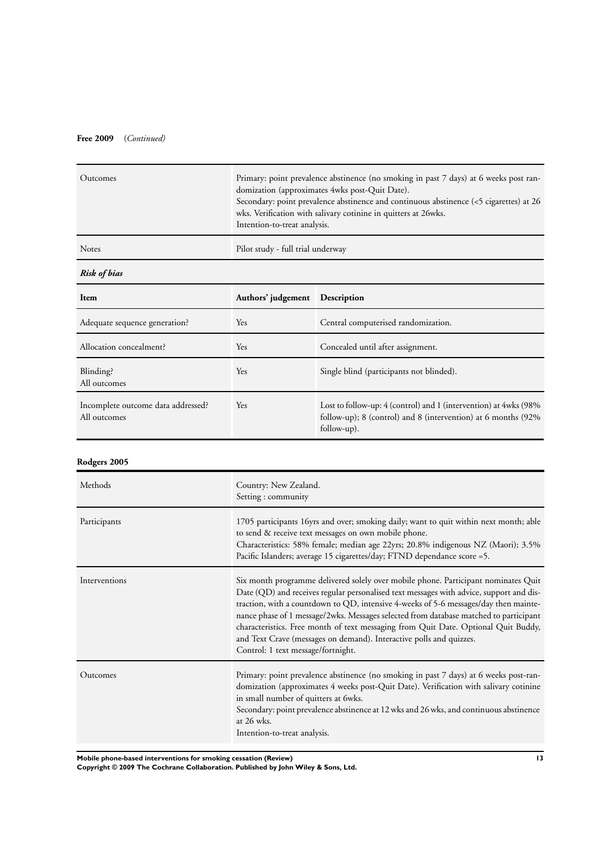# **Free 2009** (*Continued)*

| Outcomes | Primary: point prevalence abstinence (no smoking in past 7 days) at 6 weeks post ran-<br>domization (approximates 4wks post-Quit Date).<br>Secondary: point prevalence abstinence and continuous abstinence (<5 cigarettes) at 26<br>wks. Verification with salivary cotinine in quitters at 26wks.<br>Intention-to-treat analysis. |
|----------|-------------------------------------------------------------------------------------------------------------------------------------------------------------------------------------------------------------------------------------------------------------------------------------------------------------------------------------|
|          |                                                                                                                                                                                                                                                                                                                                     |

Notes Pilot study - full trial underway

# *Risk of bias*

| Item                                               | Authors' judgement | Description                                                                                                                                      |
|----------------------------------------------------|--------------------|--------------------------------------------------------------------------------------------------------------------------------------------------|
| Adequate sequence generation?                      | Yes                | Central computerised randomization.                                                                                                              |
| Allocation concealment?                            | Yes                | Concealed until after assignment.                                                                                                                |
| Blinding?<br>All outcomes                          | Yes                | Single blind (participants not blinded).                                                                                                         |
| Incomplete outcome data addressed?<br>All outcomes | Yes                | Lost to follow-up: 4 (control) and 1 (intervention) at 4wks (98%<br>follow-up); 8 (control) and 8 (intervention) at 6 months (92%<br>follow-up). |

# **Rodgers 2005**

| Methods       | Country: New Zealand.<br>Setting : community                                                                                                                                                                                                                                                                                                                                                                                                                                                                                                                      |  |  |
|---------------|-------------------------------------------------------------------------------------------------------------------------------------------------------------------------------------------------------------------------------------------------------------------------------------------------------------------------------------------------------------------------------------------------------------------------------------------------------------------------------------------------------------------------------------------------------------------|--|--|
| Participants  | 1705 participants 16yrs and over; smoking daily; want to quit within next month; able<br>to send & receive text messages on own mobile phone.<br>Characteristics: 58% female; median age 22yrs; 20.8% indigenous NZ (Maori); 3.5%<br>Pacific Islanders; average 15 cigarettes/day; FTND dependance score =5.                                                                                                                                                                                                                                                      |  |  |
| Interventions | Six month programme delivered solely over mobile phone. Participant nominates Quit<br>Date (QD) and receives regular personalised text messages with advice, support and dis-<br>traction, with a countdown to QD, intensive 4-weeks of 5-6 messages/day then mainte-<br>nance phase of 1 message/2wks. Messages selected from database matched to participant<br>characteristics. Free month of text messaging from Quit Date. Optional Quit Buddy,<br>and Text Crave (messages on demand). Interactive polls and quizzes.<br>Control: 1 text message/fortnight. |  |  |
| Outcomes      | Primary: point prevalence abstinence (no smoking in past 7 days) at 6 weeks post-ran-<br>domization (approximates 4 weeks post-Quit Date). Verification with salivary cotinine<br>in small number of quitters at 6wks.<br>Secondary: point prevalence abstinence at 12 wks and 26 wks, and continuous abstinence<br>at 26 wks.<br>Intention-to-treat analysis.                                                                                                                                                                                                    |  |  |

**Mobile phone-based interventions for smoking cessation (Review) 13**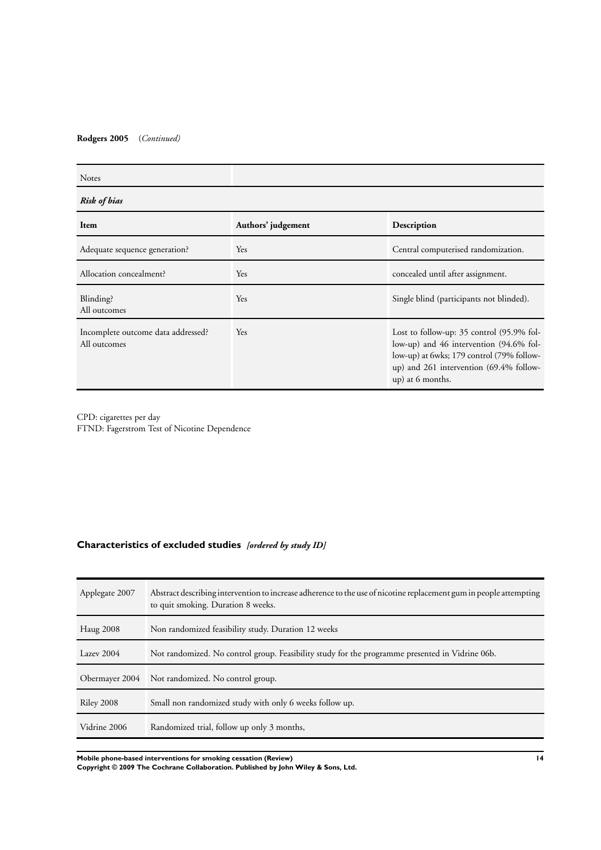# <span id="page-15-0"></span>**Rodgers 2005** (*Continued)*

| <b>Notes</b>                                       |                    |                                                                                                                                                                                                       |  |  |  |  |
|----------------------------------------------------|--------------------|-------------------------------------------------------------------------------------------------------------------------------------------------------------------------------------------------------|--|--|--|--|
| <b>Risk of bias</b>                                |                    |                                                                                                                                                                                                       |  |  |  |  |
| Item                                               | Authors' judgement | Description                                                                                                                                                                                           |  |  |  |  |
| Adequate sequence generation?                      | Yes                | Central computerised randomization.                                                                                                                                                                   |  |  |  |  |
| Allocation concealment?                            | Yes                | concealed until after assignment.                                                                                                                                                                     |  |  |  |  |
| Blinding?<br>All outcomes                          | Yes                | Single blind (participants not blinded).                                                                                                                                                              |  |  |  |  |
| Incomplete outcome data addressed?<br>All outcomes | Yes                | Lost to follow-up: $35$ control $(95.9\%$ fol-<br>low-up) and 46 intervention (94.6% fol-<br>low-up) at 6wks; 179 control (79% follow-<br>up) and 261 intervention (69.4% follow-<br>up) at 6 months. |  |  |  |  |

CPD: cigarettes per day FTND: Fagerstrom Test of Nicotine Dependence

# **Characteristics of excluded studies** *[ordered by study ID]*

| Applegate 2007    | Abstract describing intervention to increase adherence to the use of nicotine replacement gum in people attempting<br>to quit smoking. Duration 8 weeks. |
|-------------------|----------------------------------------------------------------------------------------------------------------------------------------------------------|
| <b>Haug 2008</b>  | Non randomized feasibility study. Duration 12 weeks                                                                                                      |
| Lazev $2004$      | Not randomized. No control group. Feasibility study for the programme presented in Vidrine 06b.                                                          |
| Obermayer 2004    | Not randomized. No control group.                                                                                                                        |
| <b>Riley 2008</b> | Small non randomized study with only 6 weeks follow up.                                                                                                  |
| Vidrine 2006      | Randomized trial, follow up only 3 months,                                                                                                               |
|                   |                                                                                                                                                          |

**Mobile phone-based interventions for smoking cessation (Review) 14**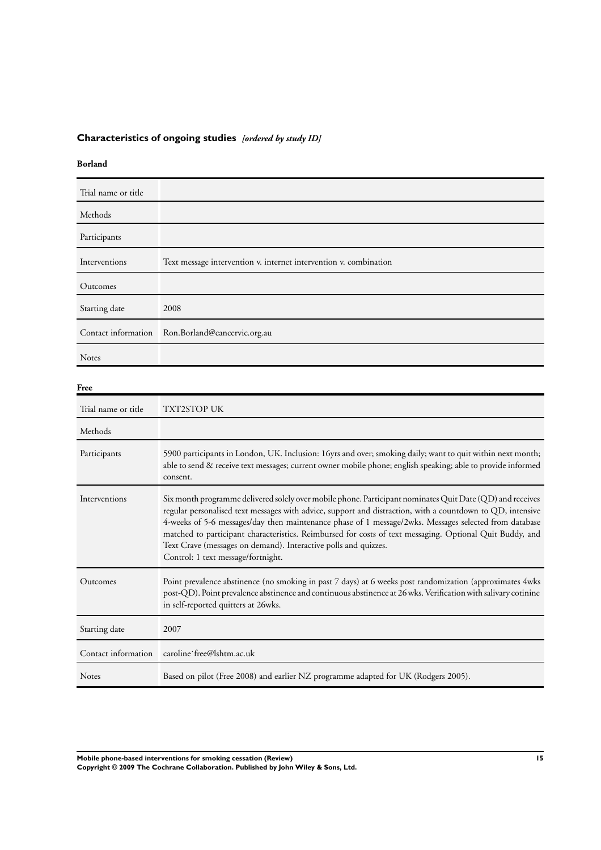# <span id="page-16-0"></span>**Characteristics of ongoing studies** *[ordered by study ID]*

# **Borland**

| Trial name or title |                                                                                                                                                                                                                                        |
|---------------------|----------------------------------------------------------------------------------------------------------------------------------------------------------------------------------------------------------------------------------------|
| Methods             |                                                                                                                                                                                                                                        |
| Participants        |                                                                                                                                                                                                                                        |
| Interventions       | Text message intervention v. internet intervention v. combination                                                                                                                                                                      |
| Outcomes            |                                                                                                                                                                                                                                        |
| Starting date       | 2008                                                                                                                                                                                                                                   |
| Contact information | Ron.Borland@cancervic.org.au                                                                                                                                                                                                           |
| <b>Notes</b>        |                                                                                                                                                                                                                                        |
| Free                |                                                                                                                                                                                                                                        |
| Trial name or title | <b>TXT2STOP UK</b>                                                                                                                                                                                                                     |
| Methods             |                                                                                                                                                                                                                                        |
| Participants        | 5900 participants in London, UK. Inclusion: 16yrs and over; smoking daily; want to quit within next month;<br>able to send & receive text messages; current owner mobile phone; english speaking; able to provide informed<br>consent. |

| Interventions | Six month programme delivered solely over mobile phone. Participant nominates Quit Date (QD) and receives<br>regular personalised text messages with advice, support and distraction, with a countdown to QD, intensive<br>4-weeks of 5-6 messages/day then maintenance phase of 1 message/2wks. Messages selected from database<br>matched to participant characteristics. Reimbursed for costs of text messaging. Optional Quit Buddy, and<br>Text Crave (messages on demand). Interactive polls and quizzes.<br>Control: 1 text message/fortnight. |
|---------------|-------------------------------------------------------------------------------------------------------------------------------------------------------------------------------------------------------------------------------------------------------------------------------------------------------------------------------------------------------------------------------------------------------------------------------------------------------------------------------------------------------------------------------------------------------|
| Outcomes      | Point prevalence abstinence (no smoking in past 7 days) at 6 weeks post randomization (approximates 4wks<br>post-QD). Point prevalence abstinence and continuous abstinence at 26 wks. Verification with salivary cotinine                                                                                                                                                                                                                                                                                                                            |

| Starting date | 2007                                                                               |
|---------------|------------------------------------------------------------------------------------|
|               | Contact information caroline free@lshtm.ac.uk                                      |
| <b>Notes</b>  | Based on pilot (Free 2008) and earlier NZ programme adapted for UK (Rodgers 2005). |

**Mobile phone-based interventions for smoking cessation (Review) 15**

**Copyright © 2009 The Cochrane Collaboration. Published by John Wiley & Sons, Ltd.**

in self-reported quitters at 26wks.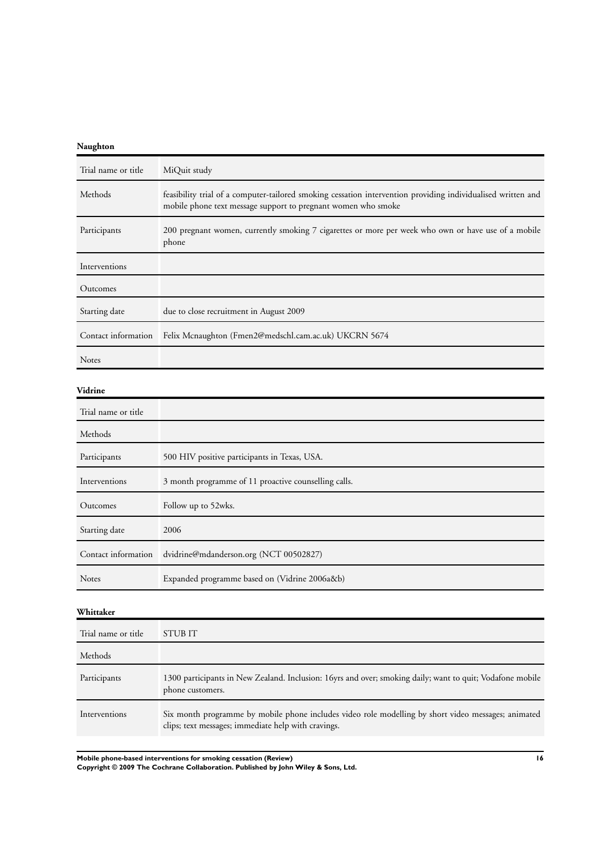# **Naughton**

| Trial name or title | MiQuit study                                                                                                                                                                  |
|---------------------|-------------------------------------------------------------------------------------------------------------------------------------------------------------------------------|
| Methods             | feasibility trial of a computer-tailored smoking cessation intervention providing individualised written and<br>mobile phone text message support to pregnant women who smoke |
| Participants        | 200 pregnant women, currently smoking 7 cigarettes or more per week who own or have use of a mobile<br>phone                                                                  |
| Interventions       |                                                                                                                                                                               |
| Outcomes            |                                                                                                                                                                               |
| Starting date       | due to close recruitment in August 2009                                                                                                                                       |
| Contact information | Felix Mcnaughton (Fmen2@medschl.cam.ac.uk) UKCRN 5674                                                                                                                         |
| <b>Notes</b>        |                                                                                                                                                                               |

### **Vidrine**

| Trial name or title |                                                      |
|---------------------|------------------------------------------------------|
| Methods             |                                                      |
| Participants        | 500 HIV positive participants in Texas, USA.         |
| Interventions       | 3 month programme of 11 proactive counselling calls. |
| Outcomes            | Follow up to 52wks.                                  |
| Starting date       | 2006                                                 |
| Contact information | dvidrine@mdanderson.org (NCT 00502827)               |
| <b>Notes</b>        | Expanded programme based on (Vidrine 2006a&b)        |

# **Whittaker**

| Trial name or title | STUB IT                                                                                                                                                    |
|---------------------|------------------------------------------------------------------------------------------------------------------------------------------------------------|
| Methods             |                                                                                                                                                            |
| Participants        | 1300 participants in New Zealand. Inclusion: 16yrs and over; smoking daily; want to quit; Vodafone mobile<br>phone customers.                              |
| Interventions       | Six month programme by mobile phone includes video role modelling by short video messages; animated<br>clips; text messages; immediate help with cravings. |
|                     |                                                                                                                                                            |

**Mobile phone-based interventions for smoking cessation (Review) 16**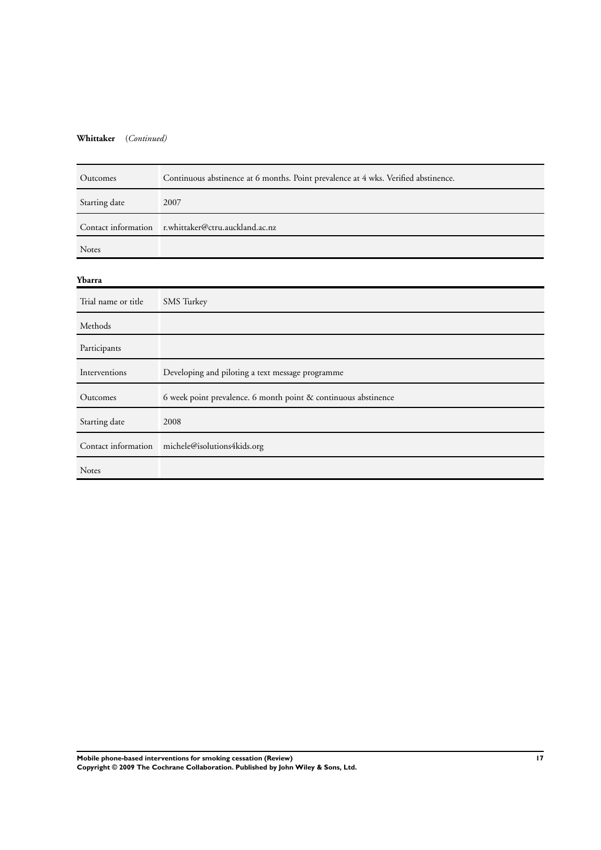### **Whittaker** (*Continued)*

| Outcomes            | Continuous abstinence at 6 months. Point prevalence at 4 wks. Verified abstinence. |
|---------------------|------------------------------------------------------------------------------------|
| Starting date       | 2007                                                                               |
| Contact information | r.whittaker@ctru.auckland.ac.nz                                                    |
| <b>Notes</b>        |                                                                                    |
| Ybarra              |                                                                                    |
| Trial name or title | SMS Turkey                                                                         |
| Methods             |                                                                                    |
| Participants        |                                                                                    |
| Interventions       | Developing and piloting a text message programme                                   |
| Outcomes            | 6 week point prevalence. 6 month point & continuous abstinence                     |
| Starting date       | 2008                                                                               |
| Contact information | michele@isolutions4kids.org                                                        |
| Notes               |                                                                                    |

**Mobile phone-based interventions for smoking cessation (Review) 17 Copyright © 2009 The Cochrane Collaboration. Published by John Wiley & Sons, Ltd.**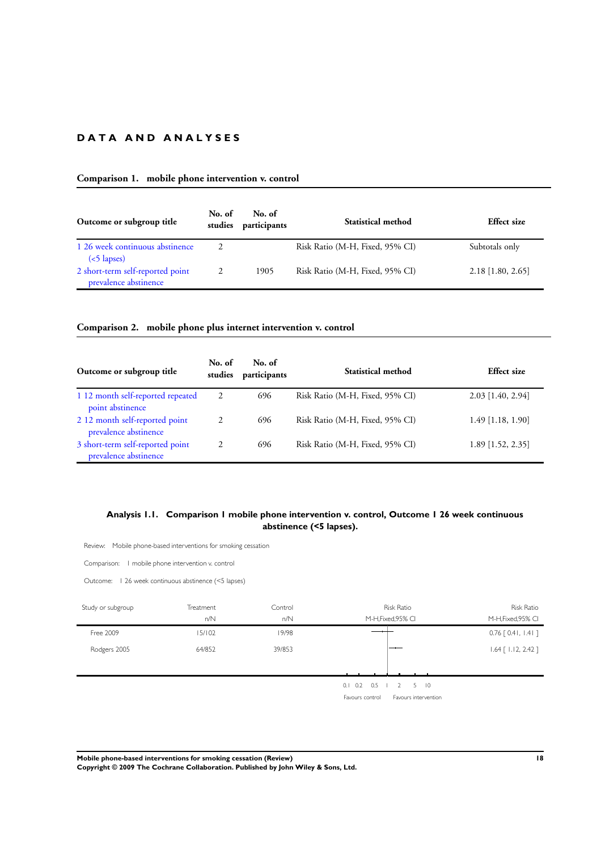# **D A T A A N D A N A L Y S E S**

| Outcome or subgroup title                                 | No. of<br>studies | No. of<br>participants | Statistical method              | <b>Effect</b> size  |
|-----------------------------------------------------------|-------------------|------------------------|---------------------------------|---------------------|
| 1 26 week continuous abstinence<br>$(<5$ lapses)          |                   |                        | Risk Ratio (M-H, Fixed, 95% CI) | Subtotals only      |
| 2 short-term self-reported point<br>prevalence abstinence |                   | 1905                   | Risk Ratio (M-H, Fixed, 95% CI) | $2.18$ [1.80, 2.65] |

# **Comparison 1. mobile phone intervention v. control**

# **Comparison 2. mobile phone plus internet intervention v. control**

| Outcome or subgroup title                                 | No. of<br>studies | No. of<br>participants | Statistical method              | <b>Effect size</b>  |
|-----------------------------------------------------------|-------------------|------------------------|---------------------------------|---------------------|
| 1 12 month self-reported repeated<br>point abstinence     |                   | 696                    | Risk Ratio (M-H, Fixed, 95% CI) | $2.03$ [1.40, 2.94] |
| 2 12 month self-reported point<br>prevalence abstinence   | 2                 | 696                    | Risk Ratio (M-H, Fixed, 95% CI) | $1.49$ [1.18, 1.90] |
| 3 short-term self-reported point<br>prevalence abstinence | 2                 | 696                    | Risk Ratio (M-H, Fixed, 95% CI) | 1.89 [1.52, 2.35]   |

# **Analysis 1.1. Comparison 1 mobile phone intervention v. control, Outcome 1 26 week continuous abstinence (<5 lapses).**

Review: Mobile phone-based interventions for smoking cessation

Comparison: 1 mobile phone intervention v. control

Outcome: 1 26 week continuous abstinence (<5 lapses)

| Study or subgroup | Treatment | Control | Risk Ratio                                              | <b>Risk Ratio</b>           |
|-------------------|-----------|---------|---------------------------------------------------------|-----------------------------|
|                   | n/N       | n/N     | M-H, Fixed, 95% CI                                      | M-H, Fixed, 95% CI          |
| Free 2009         | 15/102    | 19/98   |                                                         | $0.76$ [ 0.41, 1.41 ]       |
| Rodgers 2005      | 64/852    | 39/853  | —                                                       | $1.64$ $[$ $1.12, 2.42$ $]$ |
|                   |           |         |                                                         |                             |
|                   |           |         | 0.5<br>$0.1 \quad 0.2$<br>$5 \quad 10$<br>$\mathcal{P}$ |                             |
|                   |           |         | Favours intervention<br>Favours control                 |                             |

**Mobile phone-based interventions for smoking cessation (Review) 18**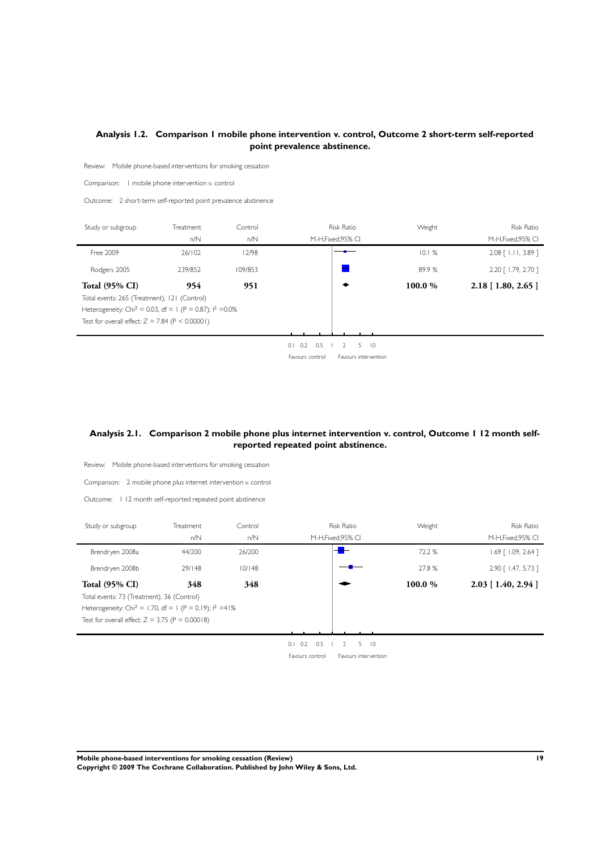# <span id="page-20-0"></span>**Analysis 1.2. Comparison 1 mobile phone intervention v. control, Outcome 2 short-term self-reported point prevalence abstinence.**

Review: Mobile phone-based interventions for smoking cessation

Comparison: 1 mobile phone intervention v. control

Outcome: 2 short-term self-reported point prevalence abstinence

| Study or subgroup                                                       | Treatment | Control |                 |                  | <b>Risk Ratio</b> |    |                | Weight | <b>Risk Ratio</b>     |
|-------------------------------------------------------------------------|-----------|---------|-----------------|------------------|-------------------|----|----------------|--------|-----------------------|
|                                                                         | n/N       | n/N     |                 | M-H.Fixed.95% CI |                   |    |                |        | M-H.Fixed.95% CI      |
| Free 2009                                                               | 26/102    | 12/98   |                 |                  |                   |    |                | 10.1%  | 2.08 [ 1.11, 3.89 ]   |
| Rodgers 2005                                                            | 239/852   | 109/853 |                 |                  |                   |    |                | 89.9%  | 2.20 [ 1.79, 2.70 ]   |
| <b>Total (95% CI)</b>                                                   | 954       | 951     |                 |                  |                   |    |                | 100.0% | $2.18$ [ 1.80, 2.65 ] |
| Total events: 265 (Treatment), 121 (Control)                            |           |         |                 |                  |                   |    |                |        |                       |
| Heterogeneity: Chi <sup>2</sup> = 0.03, df = 1 (P = 0.87); $1^2$ = 0.0% |           |         |                 |                  |                   |    |                |        |                       |
| Test for overall effect: $Z = 7.84$ (P < 0.00001)                       |           |         |                 |                  |                   |    |                |        |                       |
|                                                                         |           |         |                 |                  |                   |    |                |        |                       |
|                                                                         |           |         | $0.1 \quad 0.2$ | 0.5              |                   | 5. | $\overline{0}$ |        |                       |

Favours control Favours intervention

# **Analysis 2.1. Comparison 2 mobile phone plus internet intervention v. control, Outcome 1 12 month selfreported repeated point abstinence.**

Review: Mobile phone-based interventions for smoking cessation Comparison: 2 mobile phone plus internet intervention v. control Outcome: 1 12 month self-reported repeated point abstinence Study or subgroup Treatment Control Risk Ratio Weight Risk Ratio n/N n/N M-H,Fixed,95% CI M-H,Fixed,95% CI Brendryen 2008a 44/200 26/200 26/200 <sup>-</sup> <sup>-</sup> 72.2 % 1.69 [ 1.09, 2.64 ] Brendryen 2008b 29/148 10/148 27.8 % 2.90 [ 1.47, 5.73 ] **Total (95% CI) 348 348 100.0 % 2.03 [ 1.40, 2.94 ]**

Total events: 73 (Treatment), 36 (Control) Heterogeneity: Chi<sup>2</sup> = 1.70, df = 1 (P = 0.19);  $1^2$  =41% Test for overall effect:  $Z = 3.75$  (P = 0.00018)

0.1 0.2 0.5 1 2 5 10

Favours control Favours intervention

**Mobile phone-based interventions for smoking cessation (Review) 19**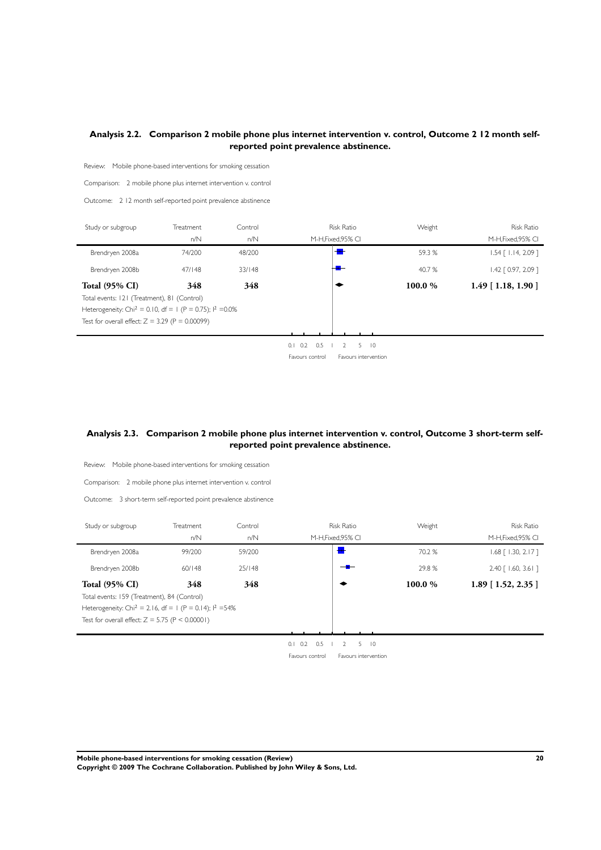### <span id="page-21-0"></span>**Analysis 2.2. Comparison 2 mobile phone plus internet intervention v. control, Outcome 2 12 month selfreported point prevalence abstinence.**

Review: Mobile phone-based interventions for smoking cessation

Comparison: 2 mobile phone plus internet intervention v. control

Outcome: 2 12 month self-reported point prevalence abstinence

| Study or subgroup                                                      | Treatment | Control | <b>Risk Ratio</b>       | Weight         | <b>Risk Ratio</b>          |
|------------------------------------------------------------------------|-----------|---------|-------------------------|----------------|----------------------------|
|                                                                        | n/N       | n/N     | M-H.Fixed.95% CI        |                | M-H.Fixed.95% CI           |
| Brendryen 2008a                                                        | 74/200    | 48/200  |                         | 59.3%          | $1.54$ $[$ $1.14$ , 2.09 ] |
| Brendryen 2008b                                                        | 47/148    | 33/148  |                         | 40.7%          | $1.42$ [ 0.97, 2.09 ]      |
| <b>Total (95% CI)</b>                                                  | 348       | 348     |                         | 100.0%         | $1.49$ [ 1.18, 1.90 ]      |
| Total events: 121 (Treatment), 81 (Control)                            |           |         |                         |                |                            |
| Heterogeneity: Chi <sup>2</sup> = 0.10, df = 1 (P = 0.75); $1^2$ =0.0% |           |         |                         |                |                            |
| Test for overall effect: $Z = 3.29$ (P = 0.00099)                      |           |         |                         |                |                            |
|                                                                        |           |         |                         |                |                            |
|                                                                        |           |         | 0.5<br>0.2<br>5.<br>0.1 | $\overline{0}$ |                            |

Favours control Favours intervention

### **Analysis 2.3. Comparison 2 mobile phone plus internet intervention v. control, Outcome 3 short-term selfreported point prevalence abstinence.**

Review: Mobile phone-based interventions for smoking cessation Comparison: 2 mobile phone plus internet intervention v. control Outcome: 3 short-term self-reported point prevalence abstinence Study or subgroup Treatment Control Risk Ratio Weight Risk Ratio n/N n/N M-H,Fixed,95% CI M-H,Fixed,95% CI Brendryen 2008a 99/200 59/200 59/200 59/200  $\frac{1}{2}$  70.2 % 1.68 [ 1.30, 2.17 ] Brendryen 2008b 60/148 25/148 25/148 29.8 % 2.40 [ 1.60, 3.61 ] **Total (95% CI) 348 348 100.0 % 1.89 [ 1.52, 2.35 ]** Total events: 159 (Treatment), 84 (Control) Heterogeneity: Chi<sup>2</sup> = 2.16, df = 1 (P = 0.14);  $1^2$  =54% Test for overall effect:  $Z = 5.75$  (P < 0.00001) 0.1 0.2 0.5 1 2 5 10 Favours control Favours intervention

**Mobile phone-based interventions for smoking cessation (Review) 20**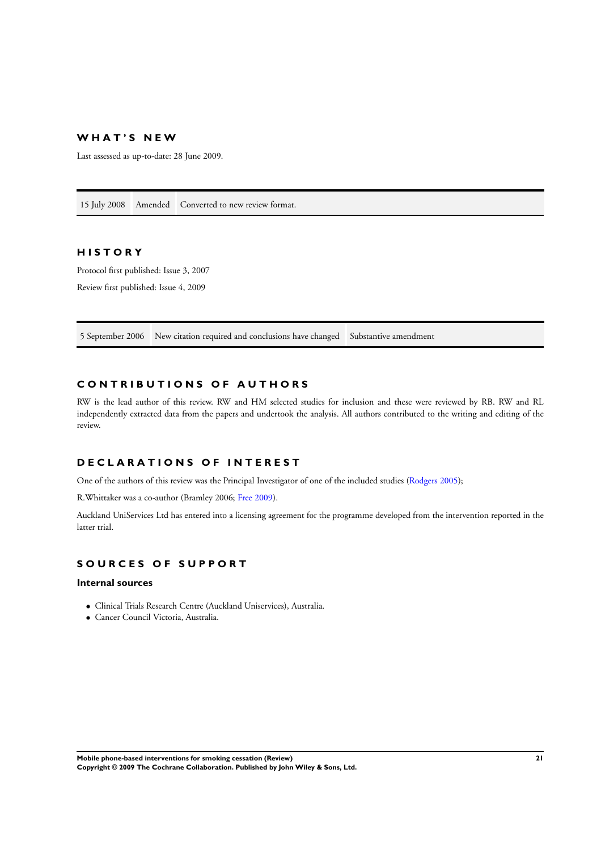# **W H A T ' S N E W**

Last assessed as up-to-date: 28 June 2009.

15 July 2008 Amended Converted to new review format.

# **H I S T O R Y**

Protocol first published: Issue 3, 2007

Review first published: Issue 4, 2009

5 September 2006 New citation required and conclusions have changed Substantive amendment

# **C O N T R I B U T I O N S O F A U T H O R S**

RW is the lead author of this review. RW and HM selected studies for inclusion and these were reviewed by RB. RW and RL independently extracted data from the papers and undertook the analysis. All authors contributed to the writing and editing of the review.

# **D E C L A R A T I O N S O F I N T E R E S T**

One of the authors of this review was the Principal Investigator of one of the included studies [\(Rodgers 2005](#page-10-0));

R.Whittaker was a co-author (Bramley 2006; [Free 2009](#page-10-0)).

Auckland UniServices Ltd has entered into a licensing agreement for the programme developed from the intervention reported in the latter trial.

# **S O U R C E S O F S U P P O R T**

### **Internal sources**

- Clinical Trials Research Centre (Auckland Uniservices), Australia.
- Cancer Council Victoria, Australia.

**Mobile phone-based interventions for smoking cessation (Review) 21 Copyright © 2009 The Cochrane Collaboration. Published by John Wiley & Sons, Ltd.**